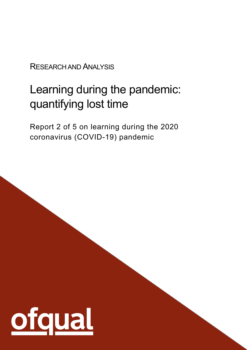RESEARCH AND ANALYSIS

# Learning during the pandemic: quantifying lost time

Report 2 of 5 on learning during the 2020 coronavirus (COVID-19) pandemic

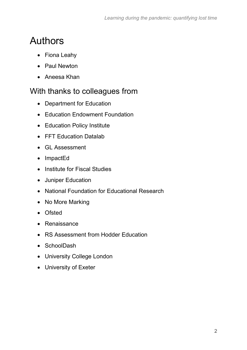# <span id="page-1-0"></span>Authors

- Fiona Leahy
- Paul Newton
- Aneesa Khan

### <span id="page-1-1"></span>With thanks to colleagues from

- Department for Education
- Education Endowment Foundation
- Education Policy Institute
- FFT Education Datalab
- GL Assessment
- ImpactEd
- Institute for Fiscal Studies
- Juniper Education
- National Foundation for Educational Research
- No More Marking
- Ofsted
- Renaissance
- RS Assessment from Hodder Education
- SchoolDash
- University College London
- University of Exeter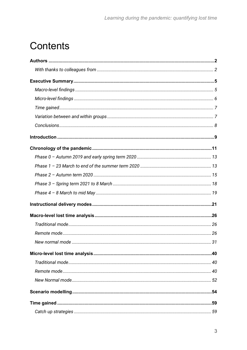# **Contents**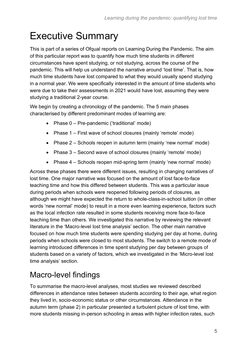# <span id="page-4-0"></span>Executive Summary

This is part of a series of Ofqual reports on Learning During the Pandemic. The aim of this particular report was to quantify how much time students in different circumstances have spent studying, or not studying, across the course of the pandemic. This will help us understand the narrative around 'lost time'. That is, how much time students have lost compared to what they would usually spend studying in a normal year. We were specifically interested in the amount of time students who were due to take their assessments in 2021 would have lost, assuming they were studying a traditional 2-year course.

We begin by creating a chronology of the pandemic. The 5 main phases characterised by different predominant modes of learning are:

- Phase 0 Pre-pandemic ('traditional' mode)
- Phase 1 First wave of school closures (mainly 'remote' mode)
- Phase 2 Schools reopen in autumn term (mainly 'new normal' mode)
- Phase 3 Second wave of school closures (mainly 'remote' mode)
- Phase 4 Schools reopen mid-spring term (mainly 'new normal' mode)

Across these phases there were different issues, resulting in changing narratives of lost time. One major narrative was focused on the amount of lost face-to-face teaching time and how this differed between students. This was a particular issue during periods when schools were reopened following periods of closures, as although we might have expected the return to whole-class-in-school tuition (in other words 'new normal' mode) to result in a more even learning experience, factors such as the local infection rate resulted in some students receiving more face-to-face teaching time than others. We investigated this narrative by reviewing the relevant literature in the 'Macro-level lost time analysis' section. The other main narrative focused on how much time students were spending studying per day at home, during periods when schools were closed to most students. The switch to a remote mode of learning introduced differences in time spent studying per day between groups of students based on a variety of factors, which we investigated in the 'Micro-level lost time analysis' section.

## <span id="page-4-1"></span>Macro-level findings

To summarise the macro-level analyses, most studies we reviewed described differences in attendance rates between students according to their age, what region they lived in, socio-economic status or other circumstances. Attendance in the autumn term (phase 2) in particular presented a turbulent picture of lost time, with more students missing in-person schooling in areas with higher infection rates, such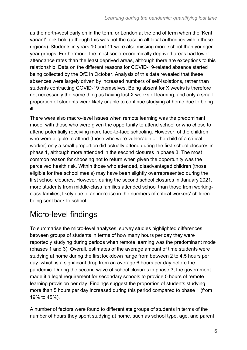as the north-west early on in the term, or London at the end of term when the 'Kent variant' took hold (although this was not the case in all local authorities within these regions). Students in years 10 and 11 were also missing more school than younger year groups. Furthermore, the most socio-economically deprived areas had lower attendance rates than the least deprived areas, although there are exceptions to this relationship. Data on the different reasons for COVID-19-related absence started being collected by the DfE in October. Analysis of this data revealed that these absences were largely driven by increased numbers of self-isolations, rather than students contracting COVID-19 themselves. Being absent for X weeks is therefore not necessarily the same thing as having lost X weeks of learning, and only a small proportion of students were likely unable to continue studying at home due to being ill.

There were also macro-level issues when remote learning was the predominant mode, with those who were given the opportunity to attend school or who chose to attend potentially receiving more face-to-face schooling. However, of the children who were eligible to attend (those who were vulnerable or the child of a critical worker) only a small proportion did actually attend during the first school closures in phase 1, although more attended in the second closures in phase 3. The most common reason for choosing not to return when given the opportunity was the perceived health risk. Within those who attended, disadvantaged children (those eligible for free school meals) may have been slightly overrepresented during the first school closures. However, during the second school closures in January 2021, more students from middle-class families attended school than those from workingclass families, likely due to an increase in the numbers of critical workers' children being sent back to school.

# <span id="page-5-0"></span>Micro-level findings

To summarise the micro-level analyses, survey studies highlighted differences between groups of students in terms of how many hours per day they were reportedly studying during periods when remote learning was the predominant mode (phases 1 and 3). Overall, estimates of the average amount of time students were studying at home during the first lockdown range from between 2 to 4.5 hours per day, which is a significant drop from an average 6 hours per day before the pandemic. During the second wave of school closures in phase 3, the government made it a legal requirement for secondary schools to provide 5 hours of remote learning provision per day. Findings suggest the proportion of students studying more than 5 hours per day increased during this period compared to phase 1 (from 19% to 45%).

A number of factors were found to differentiate groups of students in terms of the number of hours they spent studying at home, such as school type, age, and parent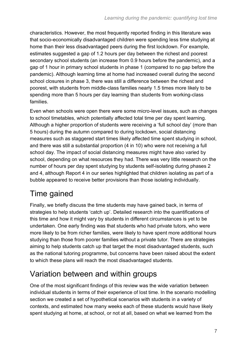characteristics. However, the most frequently reported finding in this literature was that socio-economically disadvantaged children were spending less time studying at home than their less disadvantaged peers during the first lockdown. For example, estimates suggested a gap of 1.2 hours per day between the richest and poorest secondary school students (an increase from 0.9 hours before the pandemic), and a gap of 1 hour in primary school students in phase 1 (compared to no gap before the pandemic). Although learning time at home had increased overall during the second school closures in phase 3, there was still a difference between the richest and poorest, with students from middle-class families nearly 1.5 times more likely to be spending more than 5 hours per day learning than students from working-class families.

Even when schools were open there were some micro-level issues, such as changes to school timetables, which potentially affected total time per day spent learning. Although a higher proportion of students were receiving a 'full school day' (more than 5 hours) during the autumn compared to during lockdown, social distancing measures such as staggered start times likely affected time spent studying in school, and there was still a substantial proportion (4 in 10) who were not receiving a full school day. The impact of social distancing measures might have also varied by school, depending on what resources they had. There was very little research on the number of hours per day spent studying by students self-isolating during phases 2 and 4, although Report 4 in our series highlighted that children isolating as part of a bubble appeared to receive better provisions than those isolating individually.

## <span id="page-6-0"></span>Time gained

Finally, we briefly discuss the time students may have gained back, in terms of strategies to help students 'catch up'. Detailed research into the quantifications of this time and how it might vary by students in different circumstances is yet to be undertaken. One early finding was that students who had private tutors, who were more likely to be from richer families, were likely to have spent more additional hours studying than those from poorer families without a private tutor. There are strategies aiming to help students catch up that target the most disadvantaged students, such as the national tutoring programme, but concerns have been raised about the extent to which these plans will reach the most disadvantaged students.

## <span id="page-6-1"></span>Variation between and within groups

One of the most significant findings of this review was the wide variation between individual students in terms of their experience of lost time. In the scenario modelling section we created a set of hypothetical scenarios with students in a variety of contexts, and estimated how many weeks each of these students would have likely spent studying at home, at school, or not at all, based on what we learned from the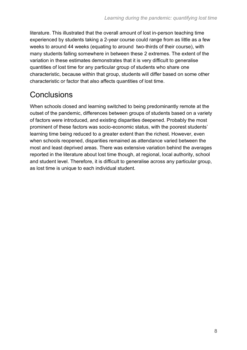literature. This illustrated that the overall amount of lost in-person teaching time experienced by students taking a 2-year course could range from as little as a few weeks to around 44 weeks (equating to around two-thirds of their course), with many students falling somewhere in between these 2 extremes. The extent of the variation in these estimates demonstrates that it is very difficult to generalise quantities of lost time for any particular group of students who share one characteristic, because within that group, students will differ based on some other characteristic or factor that also affects quantities of lost time.

# <span id="page-7-0"></span>**Conclusions**

When schools closed and learning switched to being predominantly remote at the outset of the pandemic, differences between groups of students based on a variety of factors were introduced, and existing disparities deepened. Probably the most prominent of these factors was socio-economic status, with the poorest students' learning time being reduced to a greater extent than the richest. However, even when schools reopened, disparities remained as attendance varied between the most and least deprived areas. There was extensive variation behind the averages reported in the literature about lost time though, at regional, local authority, school and student level. Therefore, it is difficult to generalise across any particular group, as lost time is unique to each individual student.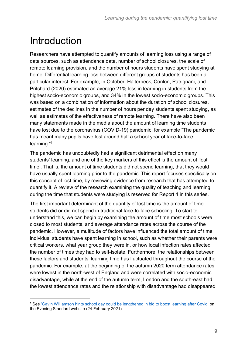# <span id="page-8-0"></span>Introduction

Researchers have attempted to quantify amounts of learning loss using a range of data sources, such as attendance data, number of school closures, the scale of remote learning provision, and the number of hours students have spent studying at home. Differential learning loss between different groups of students has been a particular interest. For example, in October, Halterbeck, Conlon, Patrignani, and Pritchard (2020) estimated an average 21% loss in learning in students from the highest socio-economic groups, and 34% in the lowest socio-economic groups. This was based on a combination of information about the duration of school closures, estimates of the declines in the number of hours per day students spent studying, as well as estimates of the effectiveness of remote learning. There have also been many statements made in the media about the amount of learning time students have lost due to the coronavirus (COVID-19) pandemic, for example "The pandemic has meant many pupils have lost around half a school year of face-to-face learning."<sup>1</sup> .

The pandemic has undoubtedly had a significant detrimental effect on many students' learning, and one of the key markers of this effect is the amount of 'lost time'. That is, the amount of time students did not spend learning, that they would have usually spent learning prior to the pandemic. This report focuses specifically on this concept of lost time, by reviewing evidence from research that has attempted to quantify it. A review of the research examining the quality of teaching and learning during the time that students were studying is reserved for Report 4 in this series.

The first important determinant of the quantity of lost time is the amount of time students did or did not spend in traditional face-to-face schooling. To start to understand this, we can begin by examining the amount of time most schools were closed to most students, and average attendance rates across the course of the pandemic. However, a multitude of factors have influenced the total amount of time individual students have spent learning in school, such as whether their parents were critical workers, what year group they were in, or how local infection rates affected the number of times they had to self-isolate. Furthermore, the relationships between these factors and students' learning time has fluctuated throughout the course of the pandemic. For example, at the beginning of the autumn 2020 term attendance rates were lowest in the north-west of England and were correlated with socio-economic disadvantage, while at the end of the autumn term, London and the south-east had the lowest attendance rates and the relationship with disadvantage had disappeared

<sup>1</sup> See ['Gavin Williamson hints school day could be lengthened in bid to boost learning after Covid'](https://www.standard.co.uk/news/politics/school-day-lengthened-gavin-williamson-covid-b920991.html) on the Evening Standard website (24 February 2021)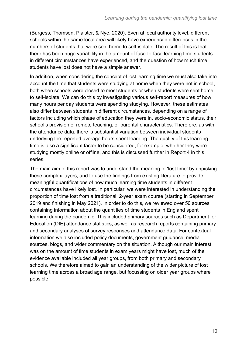(Burgess, Thomson, Plaister, & Nye, 2020). Even at local authority level, different schools within the same local area will likely have experienced differences in the numbers of students that were sent home to self-isolate. The result of this is that there has been huge variability in the amount of face-to-face learning time students in different circumstances have experienced, and the question of how much time students have lost does not have a simple answer.

In addition, when considering the concept of lost learning time we must also take into account the time that students were studying at home when they were not in school, both when schools were closed to most students or when students were sent home to self-isolate. We can do this by investigating various self-report measures of how many hours per day students were spending studying. However, these estimates also differ between students in different circumstances, depending on a range of factors including which phase of education they were in, socio-economic status, their school's provision of remote teaching, or parental characteristics. Therefore, as with the attendance data, there is substantial variation between individual students underlying the reported average hours spent learning. The quality of this learning time is also a significant factor to be considered, for example, whether they were studying mostly online or offline, and this is discussed further in Report 4 in this series.

The main aim of this report was to understand the meaning of 'lost time' by unpicking these complex layers, and to use the findings from existing literature to provide meaningful quantifications of how much learning time students in different circumstances have likely lost. In particular, we were interested in understanding the proportion of time lost from a traditional 2-year exam course (starting in September 2019 and finishing in May 2021). In order to do this, we reviewed over 50 sources containing information about the quantities of time students in England spent learning during the pandemic. This included primary sources such as Department for Education (DfE) attendance statistics, as well as research reports containing primary and secondary analyses of survey responses and attendance data. For contextual information we also included policy documents, government guidance, media sources, blogs, and wider commentary on the situation. Although our main interest was on the amount of time students in exam years might have lost, much of the evidence available included all year groups, from both primary and secondary schools. We therefore aimed to gain an understanding of the wider picture of lost learning time across a broad age range, but focussing on older year groups where possible.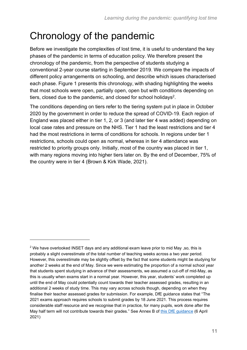# <span id="page-10-0"></span>Chronology of the pandemic

Before we investigate the complexities of lost time, it is useful to understand the key phases of the pandemic in terms of education policy. We therefore present the chronology of the pandemic, from the perspective of students studying a conventional 2-year course starting in September 2019. We compare the impacts of different policy arrangements on schooling, and describe which issues characterised each phase. Figure 1 presents this chronology, with shading highlighting the weeks that most schools were open, partially open, open but with conditions depending on tiers, closed due to the pandemic, and closed for school holidays<sup>2</sup>.

The conditions depending on tiers refer to the tiering system put in place in October 2020 by the government in order to reduce the spread of COVID-19. Each region of England was placed either in tier 1, 2, or 3 (and later tier 4 was added) depending on local case rates and pressure on the NHS. Tier 1 had the least restrictions and tier 4 had the most restrictions in terms of conditions for schools. In regions under tier 1 restrictions, schools could open as normal, whereas in tier 4 attendance was restricted to priority groups only. Initially, most of the country was placed in tier 1, with many regions moving into higher tiers later on. By the end of December, 75% of the country were in tier 4 (Brown & Kirk Wade, 2021).

<sup>2</sup> We have overlooked INSET days and any additional exam leave prior to mid May ,so, this is probably a slight overestimate of the total number of teaching weeks across a two year period. However, this overestimate may be slightly offset by the fact that some students might be studying for another 2 weeks at the end of May. Since we were estimating the proportion of a normal school year that students spent studying in advance of their assessments, we assumed a cut-off of mid-May, as this is usually when exams start in a normal year. However, this year, students' work completed up until the end of May could potentially count towards their teacher assessed grades, resulting in an additional 2 weeks of study time. This may vary across schools though, depending on when they finalise their teacher assessed grades for submission. For example, DfE guidance states that "The 2021 exams approach requires schools to submit grades by 18 June 2021. This process requires considerable staff resource and we recognise that in practice, for many pupils, work done after the May half term will not contribute towards their grades*.*" See Annex B of [this DfE guidance](https://www.gov.uk/government/publications/actions-for-schools-during-the-coronavirus-outbreak/schools-coronavirus-covid-19-operational-guidance#annex-b) (6 April 2021)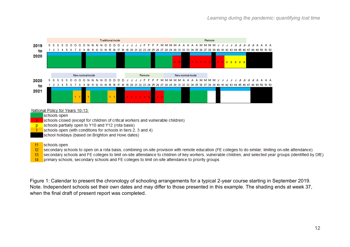

#### National Policy for Years 10-13:

schools open

schools closed (except for children of critical workers and vulnerable children)

schools partially open to Y10 and Y12 (rota basis) <sub>D</sub>

schools open (with conditions for schools in tiers 2, 3 and 4)

school holidays (based on Brighton and Hove dates)

#### schools open -t1

t2 secondary schools to open on a rota basis, combining on-site provision with remote education (FE colleges to do similar, limiting on-site attendance)

t3 secondary schools and FE colleges to limit on-site attendance to children of key workers, vulnerable children, and selected year groups (identified by DfE)

t4 primary schools, secondary schools and FE colleges to limit on-site attendance to priority groups

Figure 1: Calendar to present the chronology of schooling arrangements for a typical 2-year course starting in September 2019. Note. Independent schools set their own dates and may differ to those presented in this example. The shading ends at week 37, when the final draft of present report was completed.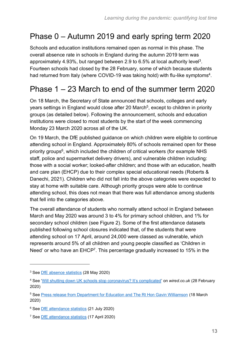# <span id="page-12-0"></span>Phase 0 – Autumn 2019 and early spring term 2020

Schools and education institutions remained open as normal in this phase. The overall absence rate in schools in England during the autumn 2019 term was approximately 4.93%, but ranged between 2.9 to 6.5% at local authority level<sup>3</sup>. Fourteen schools had closed by the 28 February, some of which because students had returned from Italy (where COVID-19 was taking hold) with flu-like symptoms<sup>4</sup>.

## <span id="page-12-2"></span><span id="page-12-1"></span>Phase 1 – 23 March to end of the summer term 2020

On 18 March, the Secretary of State announced that schools, colleges and early years settings in England would close after 20 March<sup>5</sup>, except to children in priority groups (as detailed below). Following the announcement, schools and education institutions were closed to most students by the start of the week commencing Monday 23 March 2020 across all of the UK.

On 19 March, the DfE published guidance on which children were eligible to continue attending school in England. Approximately 80% of schools remained open for these priority groups<sup>6</sup>, which included the children of critical workers (for example NHS staff, police and supermarket delivery drivers), and vulnerable children including: those with a social worker; looked-after children; and those with an education, health and care plan (EHCP) due to their complex special educational needs (Roberts & Danechi, 2021). Children who did not fall into the above categories were expected to stay at home with suitable care. Although priority groups were able to continue attending school, this does not mean that there was full attendance among students that fell into the categories above.

The overall attendance of students who normally attend school in England between March and May 2020 was around 3 to 4% for primary school children, and 1% for secondary school children (see Figure 2). Some of the first attendance datasets published following school closures indicated that, of the students that were attending school on 17 April, around 24,000 were classed as vulnerable, which represents around 5% of all children and young people classified as 'Children in Need' or who have an EHCP<sup>7</sup>. This percentage gradually increased to 15% in the

<span id="page-12-3"></span><sup>3</sup> See [DfE absence statistics](https://explore-education-statistics.service.gov.uk/find-statistics/pupil-absence-in-schools-in-england-autumn-term) (28 May 2020)

<sup>4</sup> See ['Will shutting down UK schools stop coronavirus? It's complicated'](https://www.wired.co.uk/article/coronavirus-uk-schools-closed) on *wired.co.uk* (28 February 2020)

<sup>5</sup> See [Press release from Department for Education and The Rt Hon Gavin Williamson](https://www.gov.uk/government/news/schools-colleges-and-early-years-settings-to-close) (18 March 2020)

<sup>6</sup> See [DfE attendance statistics](https://explore-education-statistics.service.gov.uk/find-statistics/attendance-in-education-and-early-years-settings-during-the-coronavirus-covid-19-outbreak/2020-week-29) (21 July 2020)

<sup>7</sup> See [DfE attendance statistics](https://assets.publishing.service.gov.uk/government/uploads/system/uploads/attachment_data/file/883173/COVID-19_attendance_in_education_settings_170420.pdf) (17 April 2020)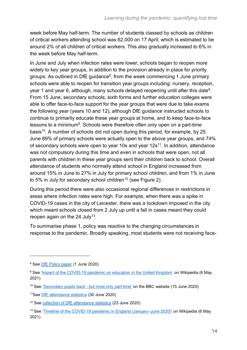week before May half-term. The number of students classed by schools as children of critical workers attending school was 62,000 on 17 April, which is estimated to be around 2% of all children of critical workers. This also gradually increased to 6% in the week before May half-term.

<span id="page-13-0"></span>In June and July when infection rates were lower, schools began to reopen more widely to key year groups, in addition to the provision already in place for priority groups. As outlined in DfE guidance<sup>8</sup>, from the week commencing 1 June primary schools were able to reopen for transition year groups including: nursery, reception, year 1 and year 6, although, many schools delayed reopening until after this date<sup>9</sup>. From 15 June, secondary schools, sixth forms and further education colleges were able to offer face-to-face support for the year groups that were due to take exams the following year (years 10 and 12), although DfE guidance instructed schools to continue to primarily educate these year groups at home, and to keep face-to-face lessons to a minimum<sup>[9](#page-13-0)</sup>. Schools were therefore often only open on a part-time basis<sup>10</sup>. A number of schools did not open during this period, for example, by 25 June 89% of primary schools were actually open to the above year groups, and 74% of secondary schools were open to year 10s and year 12s<sup>11</sup>. In addition, attendance was not compulsory during this time and even in schools that were open, not all parents with children in these year groups sent their children back to school. Overall attendance of students who normally attend school in England increased from around 15% in June to 27% in July for primary school children, and from 1% in June to 5% in July for secondary school children<sup>12</sup> (see Figure 2).

<span id="page-13-1"></span>During this period there were also occasional regional differences in restrictions in areas where infection rates were high. For example, when there was a spike in COVID-19 cases in the city of Leicester, there was a lockdown imposed in the city which meant schools closed from 2 July up until a fall in cases meant they could reopen again on the 24 July<sup>13</sup>.

To summarise phase 1, policy was reactive to the changing circumstances in response to the pandemic. Broadly speaking, most students were not receiving face-

<sup>8</sup> See [DfE Policy paper](https://www.gov.uk/government/publications/actions-for-educational-and-childcare-settings-to-prepare-for-wider-opening-from-1-june-2020/actions-for-education-and-childcare-settings-to-prepare-for-wider-opening-from-1-june-2020) (1 June 2020)

<sup>&</sup>lt;sup>9</sup> See ['Impact of the COVID-19 pandemic on education in the United Kingdom'](https://en.wikipedia.org/wiki/Impact_of_the_COVID-19_pandemic_on_education_in_the_United_Kingdom#Late_February_to_mid-March_%E2%80%93_individual_closures) on Wikipedia (6 May 2021)

<sup>&</sup>lt;sup>10</sup> See ['Secondary pupils back -](https://www.bbc.co.uk/news/education-53026221) but most only part-time' on the BBC website (15 June 2020)

<sup>11</sup>See [DfE attendance statistics](https://explore-education-statistics.service.gov.uk/find-statistics/attendance-in-education-and-early-years-settings-during-the-coronavirus-covid-19-outbreak/2020-week-26) (30 June 2020)

<sup>&</sup>lt;sup>12</sup> See [collection of DfE attendance statistics](https://www.gov.uk/government/collections/attendance-in-education-and-early-years-settings-during-the-coronavirus-covid-19-outbreak) (23 June 2020)

<sup>&</sup>lt;sup>13</sup> See ['Timeline of the COVID-19 pandemic in England \(January–June 2020\)'](https://en.wikipedia.org/wiki/Timeline_of_the_COVID-19_pandemic_in_England_(January%E2%80%93June_2020)) on Wikipedia (6 May 2021)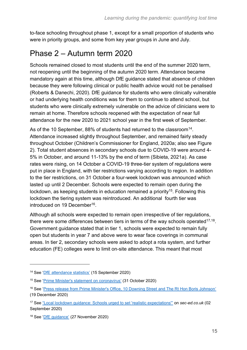to-face schooling throughout phase 1, except for a small proportion of students who were in priority groups, and some from key year groups in June and July.

### <span id="page-14-0"></span>Phase 2 – Autumn term 2020

Schools remained closed to most students until the end of the summer 2020 term, not reopening until the beginning of the autumn 2020 term. Attendance became mandatory again at this time, although DfE guidance stated that absence of children because they were following clinical or public health advice would not be penalised (Roberts & Danechi, 2020). DfE guidance for students who were clinically vulnerable or had underlying health conditions was for them to continue to attend school, but students who were clinically extremely vulnerable on the advice of clinicians were to remain at home. Therefore schools reopened with the expectation of near full attendance for the new 2020 to 2021 school year in the first week of September.

As of the 10 September, 88% of students had returned to the classroom $^{14}$ . Attendance increased slightly throughout September, and remained fairly steady throughout October (Children's Commissioner for England, 2020a; also see Figure 2). Total student absences in secondary schools due to COVID-19 were around 4- 5% in October, and around 11-13% by the end of term (Sibieta, 2021a). As case rates were rising, on 14 October a COVID-19 three-tier system of regulations were put in place in England, with tier restrictions varying according to region. In addition to the tier restrictions, on 31 October a four-week lockdown was announced which lasted up until 2 December. Schools were expected to remain open during the lockdown, as keeping students in education remained a priority<sup>15</sup>. Following this lockdown the tiering system was reintroduced. An additional fourth tier was introduced on 19 December<sup>16</sup>.

Although all schools were expected to remain open irrespective of tier regulations, there were some differences between tiers in terms of the way schools operated $^{17,18}$ . Government guidance stated that in tier 1, schools were expected to remain fully open but students in year 7 and above were to wear face coverings in communal areas. In tier 2, secondary schools were asked to adopt a rota system, and further education (FE) colleges were to limit on-site attendance. This meant that most

<sup>14</sup> See ['DfE attendance statistics'](https://explore-education-statistics.service.gov.uk/find-statistics/attendance-in-education-and-early-years-settings-during-the-coronavirus-covid-19-outbreak/2020-week-37) (15 September 2020)

<sup>15</sup> See ['Prime Minister's statement on coronavirus'](https://www.gov.uk/government/speeches/prime-ministers-statement-on-coronavirus-covid-19-31-october-2020) (31 October 2020)

<sup>16</sup> See ['Press release from Prime Minister's Office, 10 Downing Street and The Rt Hon Boris Johnson'](https://www.gov.uk/government/news/prime-minister-announces-tier-4-stay-at-home-alert-level-in-response-to-new-covid-variant#:~:text=The%20Prime%20Minister%20has%20announced%20tougher%20restrictions%20for%20large%20parts,Stay%20at%20Home) (19 December 2020)

<sup>17</sup> See ["Local lockdown guidance: Schools urged to set 'realistic expectations'"](https://www.sec-ed.co.uk/news/local-lockdown-guidance-schools-urged-to-set-realistic-expectations-ascl-covid-19-coronavirus-dfe-tiers-outbreak/) on *sec-ed.co.uk* (02 September 2020)

<sup>18</sup> See ['DfE guidance'](https://www.gov.uk/government/publications/coronavirus-covid-19-contingency-framework-for-education-and-childcare-settings/contingency-framework-education-and-childcare-settings-excluding-universities) (27 November 2020)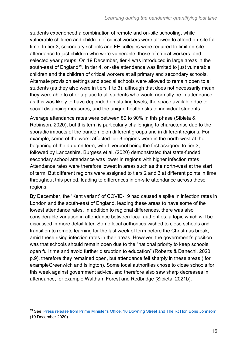students experienced a combination of remote and on-site schooling, while vulnerable children and children of critical workers were allowed to attend on-site fulltime. In tier 3, secondary schools and FE colleges were required to limit on-site attendance to just children who were vulnerable, those of critical workers, and selected year groups. On 19 December, tier 4 was introduced in large areas in the south-east of England<sup>19</sup>. In tier 4, on-site attendance was limited to just vulnerable children and the children of critical workers at all primary and secondary schools. Alternate provision settings and special schools were allowed to remain open to all students (as they also were in tiers 1 to 3), although that does not necessarily mean they were able to offer a place to all students who would normally be in attendance, as this was likely to have depended on staffing levels, the space available due to social distancing measures, and the unique health risks to individual students.

Average attendance rates were between 80 to 90% in this phase (Sibieta & Robinson, 2020), but this term is particularly challenging to characterise due to the sporadic impacts of the pandemic on different groups and in different regions. For example, some of the worst affected tier 3 regions were in the north-west at the beginning of the autumn term, with Liverpool being the first assigned to tier 3, followed by Lancashire. Burgess et al. (2020) demonstrated that state-funded secondary school attendance was lower in regions with higher infection rates. Attendance rates were therefore lowest in areas such as the north-west at the start of term. But different regions were assigned to tiers 2 and 3 at different points in time throughout this period, leading to differences in on-site attendance across these regions.

By December, the 'Kent variant' of COVID-19 had caused a spike in infection rates in London and the south-east of England, leading these areas to have some of the lowest attendance rates. In addition to regional differences, there was also considerable variation in attendance between local authorities, a topic which will be discussed in more detail later. Some local authorities wished to close schools and transition to remote learning for the last week of term before the Christmas break, amid these rising infection rates in their areas. However, the government's position was that schools should remain open due to the "national priority to keep schools open full time and avoid further disruption to education" (Roberts & Danechi, 2020, p.9), therefore they remained open, but attendance fell sharply in these areas ( for exampleGreenwich and Islington). Some local authorities chose to close schools for this week against government advice, and therefore also saw sharp decreases in attendance, for example Waltham Forest and Redbridge (Sibieta, 2021b).

<sup>&</sup>lt;sup>19</sup> See ['Press release from Prime Minister's Office, 10 Downing Street and The Rt Hon Boris Johnson'](https://www.gov.uk/government/news/prime-minister-announces-tier-4-stay-at-home-alert-level-in-response-to-new-covid-variant#:~:text=The%20Prime%20Minister%20has%20announced%20tougher%20restrictions%20for%20large%20parts,Stay%20at%20Home) (19 December 2020)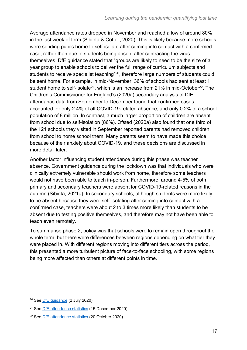Average attendance rates dropped in November and reached a low of around 80% in the last week of term (Sibieta & Cottell, 2020). This is likely because more schools were sending pupils home to self-isolate after coming into contact with a confirmed case, rather than due to students being absent after contracting the virus themselves. DfE guidance stated that "groups are likely to need to be the size of a year group to enable schools to deliver the full range of curriculum subjects and students to receive specialist teaching"<sup>20</sup>, therefore large numbers of students could be sent home. For example, in mid-November, 36% of schools had sent at least 1 student home to self-isolate<sup>21</sup>, which is an increase from 21% in mid-October<sup>22</sup>. The Children's Commissioner for England's (2020a) secondary analysis of DfE attendance data from September to December found that confirmed cases accounted for only 2.4% of all COVID-19-related absence, and only 0.2% of a school population of 8 million. In contrast, a much larger proportion of children are absent from school due to self-isolation (86%). Ofsted (2020a) also found that one third of the 121 schools they visited in September reported parents had removed children from school to home school them. Many parents seem to have made this choice because of their anxiety about COVID-19, and these decisions are discussed in more detail later.

Another factor influencing student attendance during this phase was teacher absence. Government guidance during the lockdown was that individuals who were clinically extremely vulnerable should work from home, therefore some teachers would not have been able to teach in-person. Furthermore, around 4-5% of both primary and secondary teachers were absent for COVID-19-related reasons in the autumn (Sibieta, 2021a). In secondary schools, although students were more likely to be absent because they were self-isolating after coming into contact with a confirmed case, teachers were about 2 to 3 times more likely than students to be absent due to testing positive themselves, and therefore may not have been able to teach even remotely.

To summarise phase 2, policy was that schools were to remain open throughout the whole term, but there were differences between regions depending on what tier they were placed in. With different regions moving into different tiers across the period, this presented a more turbulent picture of face-to-face schooling, with some regions being more affected than others at different points in time.

<sup>20</sup> See [DfE guidance](https://www.gov.uk/government/publications/actions-for-schools-during-the-coronavirus-outbreak/schools-coronavirus-covid-19-operational-guidance) (2 July 2020)

<sup>21</sup> See [DfE attendance statistics](https://explore-education-statistics.service.gov.uk/find-statistics/attendance-in-education-and-early-years-settings-during-the-coronavirus-covid-19-outbreak/2020-week-50) (15 December 2020)

<sup>22</sup> See [DfE attendance statistics](https://explore-education-statistics.service.gov.uk/find-statistics/attendance-in-education-and-early-years-settings-during-the-coronavirus-covid-19-outbreak/2020-week-42) (20 October 2020)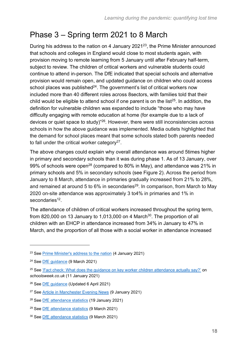# <span id="page-17-0"></span>Phase 3 – Spring term 2021 to 8 March

During his address to the nation on 4 January 2021<sup>23</sup>, the Prime Minister announced that schools and colleges in England would close to most students again, with provision moving to remote learning from 5 January until after February half-term, subject to review. The children of critical workers and vulnerable students could continue to attend in-person. The DfE indicated that special schools and alternative provision would remain open, and updated guidance on children who could access school places was published<sup>24</sup>. The government's list of critical workers now included more than 40 different roles across 8sectors, with families told that their child would be eligible to attend school if one parent is on the list<sup>25</sup>. In addition, the definition for vulnerable children was expanded to include "those who may have difficulty engaging with remote education at home (for example due to a lack of devices or quiet space to study)"<sup>26</sup> *.* However, there were still inconsistencies across schools in how the above guidance was implemented. Media outlets highlighted that the demand for school places meant that some schools stated both parents needed to fall under the critical worker category<sup>27</sup>.

The above changes could explain why overall attendance was around 5times higher in primary and secondary schools than it was during phase 1. As of 13 January, over 99% of schools were open<sup>28</sup> (compared to 80% in May), and attendance was 21% in primary schools and 5% in secondary schools (see Figure 2). Across the period from January to 8 March, attendance in primaries gradually increased from 21% to 28%, and remained at around 5 to 6% in secondaries<sup>29</sup>. In comparison, from March to May 2020 on-site attendance was approximately 3 to4% in primaries and 1% in secondaries<sup>[12](#page-13-1)</sup>.

<span id="page-17-1"></span>The attendance of children of critical workers increased throughout the spring term, from 820,000 on 13 January to 1,013,000 on 4 March<sup>30</sup>. The proportion of all children with an EHCP in attendance increased from 34% in January to 47% in March, and the proportion of all those with a social worker in attendance increased

<sup>&</sup>lt;sup>23</sup> See [Prime Minister's address to the nation](https://www.gov.uk/government/speeches/prime-ministers-address-to-the-nation-4-january-2021) (4 January 2021)

<sup>24</sup> See [DfE guidance](https://www.gov.uk/government/publications/coronavirus-covid-19-maintaining-educational-provision/guidance-for-schools-colleges-and-local-authorities-on-maintaining-educational-provision) (9 March 2021)

<sup>&</sup>lt;sup>25</sup> See ['Fact check: What does the guidance on key worker children attendance actually say?'](https://schoolsweek.co.uk/fact-check-what-does-the-guidance-on-key-worker-children-attendance-actually-say/) on *schoolsweek.co.uk* (11 January 2021)

<sup>&</sup>lt;sup>26</sup> See [DfE guidance](https://www.gov.uk/government/publications/coronavirus-covid-19-maintaining-further-education-provision/further-education-coronavirus-covid-19-operational-guidance) (Updated 6 April 2021)

<sup>27</sup> See [Article in Manchester Evening News](https://www.manchestereveningnews.co.uk/news/greater-manchester-news/key-worker-space-schools-pupils-19586840) (9 January 2021)

<sup>&</sup>lt;sup>28</sup> See [DfE attendance statistics](https://explore-education-statistics.service.gov.uk/find-statistics/attendance-in-education-and-early-years-settings-during-the-coronavirus-covid-19-outbreak/2021-week-3) (19 January 2021)

<sup>29</sup> See [DfE attendance statistics](https://explore-education-statistics.service.gov.uk/find-statistics/attendance-in-education-and-early-years-settings-during-the-coronavirus-covid-19-outbreak/2021-week-10) (9 March 2021)

<sup>30</sup> See [DfE attendance statistics](https://www.gov.uk/government/statistics/attendance-in-education-and-early-years-settings-during-the-coronavirus-covid-19-outbreak-23-march-2020-to-4-march-2021) (9 March 2021)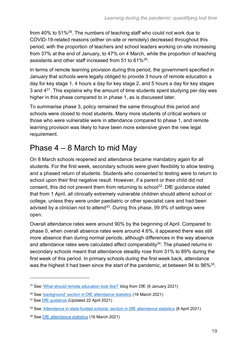from 40% to 51%<sup>[29](#page-17-1)</sup>. The numbers of teaching staff who could not work due to COVID-19-related reasons (either on-site or remotely) decreased throughout this period, with the proportion of teachers and school leaders working on-site increasing from 37% at the end of January, to 47% on 4 March, while the proportion of teaching assistants and other staff increased from 51 to 61%<sup>[29](#page-17-1)</sup>.

In terms of remote learning provision during this period, the government specified in January that schools were legally obliged to provide 3 hours of remote education a day for key stage 1, 4 hours a day for key stage 2, and 5 hours a day for key stages 3 and  $4^{31}$ . This explains why the amount of time students spent studying per day was higher in this phase compared to in phase 1, as is discussed later.

To summarise phase 3, policy remained the same throughout this period and schools were closed to most students. Many more students of critical workers or those who were vulnerable were in attendance compared to phase 1, and remote learning provision was likely to have been more extensive given the new legal requirement.

# <span id="page-18-0"></span>Phase 4 – 8 March to mid May

On 8 March schools reopened and attendance became mandatory again for all students. For the first week, secondary schools were given flexibility to allow testing and a phased return of students. Students who consented to testing were to return to school upon their first negative result. However, if a parent or their child did not consent, this did not prevent them from returning to school<sup>32</sup>. DfE guidance stated that from 1 April, all clinically extremely vulnerable children should attend school or college, unless they were under paediatric or other specialist care and had been advised by a clinician not to attend<sup>33</sup>. During this phase, 99.9% of settings were open.

Overall attendance rates were around 90% by the beginning of April. Compared to phase 0, when overall absence rates were around 4.6%, it appeared there was still more absence than during normal periods, although differences in the way absence and attendance rates were calculated affect comparability<sup>34</sup>. The phased returns in secondary schools meant that attendance steadily rose from 31% to 89% during the first week of this period. In primary schools during the first week back, attendance was the highest it had been since the start of the pandemic, at between 94 to 96% $35$ .

<span id="page-18-1"></span><sup>31</sup> See ['What should remote education look like?'](https://dfemedia.blog.gov.uk/2021/01/08/what-should-remote-education-look-like-how-can-your-child-learn-remotely-if-you-dont-have-a-laptop-we-answer-your-remote-learning-questions/) blog from DfE (8 January 2021)

<sup>32</sup> See ['background' section in DfE attendance statistics](https://explore-education-statistics.service.gov.uk/find-statistics/attendance-in-education-and-early-years-settings-during-the-coronavirus-covid-19-outbreak/2021-week-11) (16 March 2021)

<sup>33</sup> See [DfE guidance](https://www.gov.uk/government/publications/what-parents-and-carers-need-to-know-about-early-years-providers-schools-and-colleges-during-the-coronavirus-covid-19-outbreak/what-parents-need-to-know-about-early-years-providers-schools-and-colleges-during-covid-19#school-and-college) (Updated 22 April 2021)

<sup>34</sup> See ['Attendance in state-funded schools' section in DfE attendance statistics](https://explore-education-statistics.service.gov.uk/find-statistics/attendance-in-education-and-early-years-settings-during-the-coronavirus-covid-19-outbreak/2021-week-14) (8 April 2021)

<sup>35</sup> See [DfE attendance statistics](https://explore-education-statistics.service.gov.uk/find-statistics/attendance-in-education-and-early-years-settings-during-the-coronavirus-covid-19-outbreak/2021-week-11) (16 March 2021)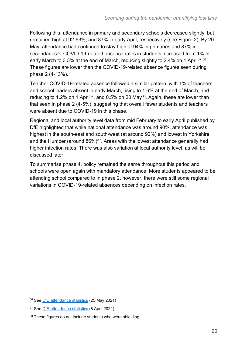<span id="page-19-1"></span>Following this, attendance in primary and secondary schools decreased slightly, but remained high at 92-93%, and 87% in early April, respectively (see Figure 2). By 20 May, attendance had continued to stay high at 94% in primaries and 87% in secondaries<sup>36</sup>. COVID-19-related absence rates in students increased from 1% in early March to 3.3% at the end of March, reducing slightly to 2.4% on 1 April<sup>37,38</sup>. These figures are lower than the COVID-19-related absence figures seen during phase 2 (4-13%).

<span id="page-19-0"></span>Teacher COVID-19-related absence followed a similar pattern, with 1% of teachers and school leaders absent in early March, rising to 1.6% at the end of March, and reducing to 1.2% on 1 April<sup>[37](#page-19-0)</sup>, and 0.5% on 20 May<sup>[36](#page-19-1)</sup>. Again, these are lower than that seen in phase 2 (4-5%), suggesting that overall fewer students and teachers were absent due to COVID-19 in this phase.

Regional and local authority level data from mid February to early April published by DfE highlighted that while national attendance was around 90%, attendance was highest in the south-east and south-west (at around 92%) and lowest in Yorkshire and the Humber (around 86%)<sup>[37](#page-19-0)</sup>. Areas with the lowest attendance generally had higher infection rates. There was also variation at local authority level, as will be discussed later.

To summarise phase 4, policy remained the same throughout this period and schools were open again with mandatory attendance. More students appeared to be attending school compared to in phase 2, however, there were still some regional variations in COVID-19-related absences depending on infection rates.

<sup>36</sup> See [DfE attendance statistics](https://explore-education-statistics.service.gov.uk/find-statistics/attendance-in-education-and-early-years-settings-during-the-coronavirus-covid-19-outbreak/2021-week-21) (25 May 2021)

<sup>37</sup> See [DfE attendance statistics](https://explore-education-statistics.service.gov.uk/find-statistics/attendance-in-education-and-early-years-settings-during-the-coronavirus-covid-19-outbreak/2021-week-14) (8 April 2021)

<sup>38</sup> These figures do not include students who were shielding.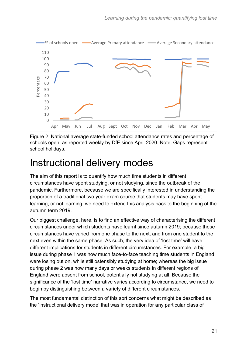

Figure 2: National average state-funded school attendance rates and percentage of schools open, as reported weekly by DfE since April 2020. Note. Gaps represent school holidays.

# <span id="page-20-0"></span>Instructional delivery modes

The aim of this report is to quantify how much time students in different circumstances have spent studying, or not studying, since the outbreak of the pandemic. Furthermore, because we are specifically interested in understanding the proportion of a traditional two year exam course that students may have spent learning, or not learning, we need to extend this analysis back to the beginning of the autumn term 2019.

Our biggest challenge, here, is to find an effective way of characterising the different circumstances under which students have learnt since autumn 2019; because these circumstances have varied from one phase to the next, and from one student to the next even within the same phase. As such, the very idea of 'lost time' will have different implications for students in different circumstances. For example, a big issue during phase 1 was how much face-to-face teaching time students in England were losing out on, while still ostensibly studying at home; whereas the big issue during phase 2 was how many days or weeks students in different regions of England were absent from school, potentially not studying at all. Because the significance of the 'lost time' narrative varies according to circumstance, we need to begin by distinguishing between a variety of different circumstances.

The most fundamental distinction of this sort concerns what might be described as the 'instructional delivery mode' that was in operation for any particular class of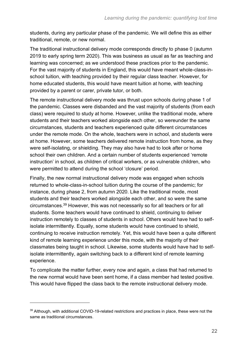students, during any particular phase of the pandemic. We will define this as either traditional, remote, or new normal.

The traditional instructional delivery mode corresponds directly to phase 0 (autumn 2019 to early spring term 2020). This was business as usual as far as teaching and learning was concerned; as we understood these practices prior to the pandemic. For the vast majority of students in England, this would have meant whole-class-inschool tuition, with teaching provided by their regular class teacher. However, for home educated students, this would have meant tuition at home, with teaching provided by a parent or carer, private tutor, or both.

The remote instructional delivery mode was thrust upon schools during phase 1 of the pandemic. Classes were disbanded and the vast majority of students (from each class) were required to study at home. However, unlike the traditional mode, where students and their teachers worked alongside each other, so wereunder the same circumstances, students and teachers experienced quite different circumstances under the remote mode. On the whole, teachers were in school, and students were at home. However, some teachers delivered remote instruction from home, as they were self-isolating, or shielding. They may also have had to look after or home school their own children. And a certain number of students experienced 'remote instruction' in school, as children of critical workers, or as vulnerable children, who were permitted to attend during the school 'closure' period.

Finally, the new normal instructional delivery mode was engaged when schools returned to whole-class-in-school tuition during the course of the pandemic; for instance, during phase 2, from autumn 2020. Like the traditional mode, most students and their teachers worked alongside each other, and so were the same circumstances.<sup>39</sup> However, this was not necessarily so for all teachers or for all students. Some teachers would have continued to shield, continuing to deliver instruction remotely to classes of students in school. Others would have had to selfisolate intermittently. Equally, some students would have continued to shield, continuing to receive instruction remotely. Yet, this would have been a quite different kind of remote learning experience under this mode, with the majority of their classmates being taught in school. Likewise, some students would have had to selfisolate intermittently, again switching back to a different kind of remote learning experience.

To complicate the matter further, every now and again, a class that had returned to the new normal would have been sent home, if a class member had tested positive. This would have flipped the class back to the remote instructional delivery mode.

<sup>&</sup>lt;sup>39</sup> Although, with additional COVID-19-related restrictions and practices in place, these were not the same as traditional circumstances.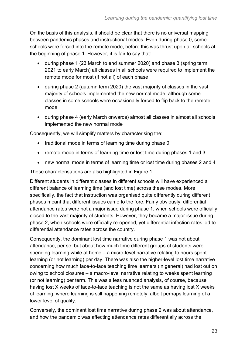On the basis of this analysis, it should be clear that there is no universal mapping between pandemic phases and instructional modes. Even during phase 0, some schools were forced into the remote mode, before this was thrust upon all schools at the beginning of phase 1. However, it is fair to say that:

- during phase 1 (23 March to end summer 2020) and phase 3 (spring term 2021 to early March) all classes in all schools were required to implement the remote mode for most (if not all) of each phase
- during phase 2 (autumn term 2020) the vast majority of classes in the vast majority of schools implemented the new normal mode; although some classes in some schools were occasionally forced to flip back to the remote mode
- during phase 4 (early March onwards) almost all classes in almost all schools implemented the new normal mode

Consequently, we will simplify matters by characterising the:

- traditional mode in terms of learning time during phase 0
- remote mode in terms of learning time or lost time during phases 1 and 3
- new normal mode in terms of learning time or lost time during phases 2 and 4

These characterisations are also highlighted in Figure 1.

Different students in different classes in different schools will have experienced a different balance of learning time (and lost time) across these modes. More specifically, the fact that instruction was organised quite differently during different phases meant that different issues came to the fore. Fairly obviously, differential attendance rates were not a major issue during phase 1, when schools were officially closed to the vast majority of students. However, they became a major issue during phase 2, when schools were officially re-opened, yet differential infection rates led to differential attendance rates across the country.

Consequently, the dominant lost time narrative during phase 1 was not about attendance, per se, but about how much time different groups of students were spending learning while at home – a micro-level narrative relating to hours spent learning (or not learning) per day. There was also the higher-level lost time narrative concerning how much face-to-face teaching time learners (in general) had lost out on owing to school closures – a macro-level narrative relating to weeks spent learning (or not learning) per term. This was a less nuanced analysis, of course, because having lost X weeks of face-to-face teaching is not the same as having lost X weeks of learning; where learning is still happening remotely, albeit perhaps learning of a lower level of quality.

Conversely, the dominant lost time narrative during phase 2 was about attendance, and how the pandemic was affecting attendance rates differentially across the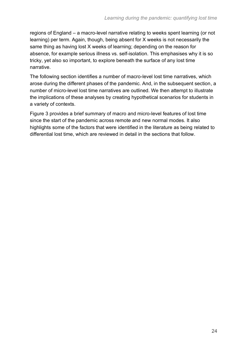regions of England – a macro-level narrative relating to weeks spent learning (or not learning) per term. Again, though, being absent for X weeks is not necessarily the same thing as having lost X weeks of learning; depending on the reason for absence, for example serious illness vs. self-isolation. This emphasises why it is so tricky, yet also so important, to explore beneath the surface of any lost time narrative.

The following section identifies a number of macro-level lost time narratives, which arose during the different phases of the pandemic. And, in the subsequent section, a number of micro-level lost time narratives are outlined. We then attempt to illustrate the implications of these analyses by creating hypothetical scenarios for students in a variety of contexts.

Figure 3 provides a brief summary of macro and micro-level features of lost time since the start of the pandemic across remote and new normal modes. It also highlights some of the factors that were identified in the literature as being related to differential lost time, which are reviewed in detail in the sections that follow.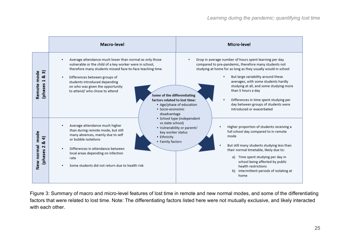|                                                      | Macro-level                                                                                                                                                                                                                                                                                                                                                                                                                           | Micro-level                                                                                                                                                                                                                                                                                                                                                                                                                                                             |
|------------------------------------------------------|---------------------------------------------------------------------------------------------------------------------------------------------------------------------------------------------------------------------------------------------------------------------------------------------------------------------------------------------------------------------------------------------------------------------------------------|-------------------------------------------------------------------------------------------------------------------------------------------------------------------------------------------------------------------------------------------------------------------------------------------------------------------------------------------------------------------------------------------------------------------------------------------------------------------------|
| ົສ<br>mode<br>ಯ<br>$\mathbf{r}$<br>Remote<br>(phases | Average attendance much lower than normal as only those<br>٠<br>vulnerable or the child of a key worker were in school,<br>therefore many students missed face-to-face teaching time<br>Differences between groups of<br>٠<br>students introduced depending<br>on who was given the opportunity<br>to attend/ who chose to attend<br>Some of the differentiating<br>factors related to lost time:<br>· Socio-economic<br>disadvantage | Drop in average number of hours spent learning per day<br>compared to pre-pandemic, therefore many students not<br>studying at home for as long as they usually would in school<br>But large variability around these<br>averages, with some students hardly<br>studying at all, and some studying more<br>than 5 hours a day<br>Differences in time spent studying per<br>day between groups of students were<br>• Age/phase of education<br>introduced or exacerbated |
| mode<br>& 4)<br>New normal<br>$\sim$<br>(phases      | vs state school)<br>Average attendance much higher<br>٠<br>than during remote mode, but still<br>key worker status<br>many absences, mainly due to self<br>• Ethnicity<br>or bubble isolations<br>• Family factors<br>Differences in attendance between<br>٠<br>local areas depending on infection<br>rate<br>Some students did not return due to health risk<br>$\bullet$                                                            | · School type (independent<br>Higher proportion of students receiving a<br>• Vulnerability or parents'<br>full school day compared to in remote<br>mode<br>But still many students studying less than<br>their normal timetable, likely due to:<br>a) Time spent studying per day in<br>school being affected by public<br>health restrictions<br>Intermittent periods of isolating at<br>b)<br>home                                                                    |

Figure 3: Summary of macro and micro-level features of lost time in remote and new normal modes, and some of the differentiating factors that were related to lost time. Note: The differentiating factors listed here were not mutually exclusive, and likely interacted with each other.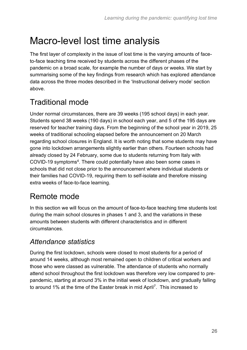# <span id="page-25-0"></span>Macro-level lost time analysis

The first layer of complexity in the issue of lost time is the varying amounts of faceto-face teaching time received by students across the different phases of the pandemic on a broad scale, for example the number of days or weeks. We start by summarising some of the key findings from research which has explored attendance data across the three modes described in the 'Instructional delivery mode' section above.

# <span id="page-25-1"></span>Traditional mode

Under normal circumstances, there are 39 weeks (195 school days) in each year. Students spend 38 weeks (190 days) in school each year, and 5 of the 195 days are reserved for teacher training days. From the beginning of the school year in 2019, 25 weeks of traditional schooling elapsed before the announcement on 20 March regarding school closures in England. It is worth noting that some students may have gone into lockdown arrangements slightly earlier than others. Fourteen schools had already closed by 24 February, some due to students returning from Italy with COVID-19 symptoms<sup>[4](#page-12-2)</sup>. There could potentially have also been some cases in schools that did not close prior to the announcement where individual students or their families had COVID-19, requiring them to self-isolate and therefore missing extra weeks of face-to-face learning.

## <span id="page-25-2"></span>Remote mode

In this section we will focus on the amount of face-to-face teaching time students lost during the main school closures in phases 1 and 3, and the variations in these amounts between students with different characteristics and in different circumstances.

### *Attendance statistics*

During the first lockdown, schools were closed to most students for a period of around 14 weeks, although most remained open to children of critical workers and those who were classed as vulnerable. The attendance of students who normally attend school throughout the first lockdown was therefore very low compared to prepandemic, starting at around 3% in the initial week of lockdown, and gradually falling to around 1% at the time of the Easter break in mid April<sup>[7](#page-12-3)</sup>. This increased to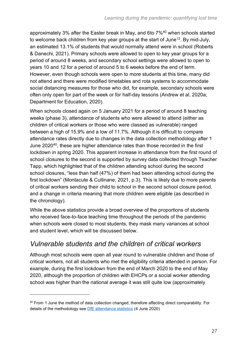<span id="page-26-0"></span>approximately 3% after the Easter break in May, and 6to 7%<sup>40</sup> when schools started to welcome back children from key year groups at the start of June<sup>[12](#page-13-1)</sup>. By mid-July, an estimated 13.1% of students that would normally attend were in school (Roberts & Danechi, 2021). Primary schools were allowed to open to key year groups for a period of around 8 weeks, and secondary school settings were allowed to open to years 10 and 12 for a period of around 5 to 6 weeks before the end of term. However, even though schools were open to more students at this time, many did not attend and there were modified timetables and rota systems to accommodate social distancing measures for those who did, for example, secondary schools were often only open for part of the week or for half-day lessons (Andrew et al, 2020a; Department for Education, 2020).

When schools closed again on 5 January 2021 for a period of around 8 teaching weeks (phase 3), attendance of students who were allowed to attend (either as children of critical workers or those who were classed as vulnerable) ranged between a high of 15.9% and a low of 11.7%. Although it is difficult to compare attendance rates directly due to changes in the data collection methodology after 1 June 2020<sup>[40](#page-26-0)</sup>, these are higher attendance rates than those recorded in the first lockdown in spring 2020. This apparent increase in attendance from the first round of school closures to the second is supported by survey data collected through Teacher Tapp, which highlighted that of the children attending school during the second school closures, "less than half (47%) of them had been attending school during the first lockdown" (Montacute & Cullinane, 2021, p.3). This is likely due to more parents of critical workers sending their child to school in the second school closure period, and a change in criteria meaning that more children were eligible (as described in the chronology).

While the above statistics provide a broad overview of the proportions of students who received face-to-face teaching time throughout the periods of the pandemic when schools were closed to most students, they mask many variances at school and student level, which will be discussed below.

#### *Vulnerable students and the children of critical workers*

Although most schools were open all year round to vulnerable children and those of critical workers, not all students who met the eligibility criteria attended in person. For example, during the first lockdown from the end of March 2020 to the end of May 2020, although the proportion of children with EHCPs or a social worker attending school was higher than the national average it was still quite low (approximately

<sup>&</sup>lt;sup>40</sup> From 1 June the method of data collection changed, therefore affecting direct comparability. For details of the methodology see [DfE attendance statistics](https://assets.publishing.service.gov.uk/government/uploads/system/uploads/attachment_data/file/920898/Attendance_figures_coronavirus_covid_19_4_June_2020.pdf) (4 June 2020)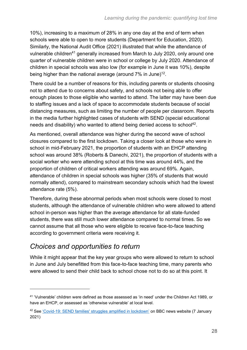10%), increasing to a maximum of 28% in any one day at the end of term when schools were able to open to more students (Department for Education, 2020). Similarly, the National Audit Office (2021) illustrated that while the attendance of vulnerable children<sup>41</sup> generally increased from March to July 2020, only around one quarter of vulnerable children were in school or college by July 2020. Attendance of children in special schools was also low (for example in June it was 10%), despite being higher than the national average (around 7% in June)<sup>[12](#page-13-1)</sup>.

There could be a number of reasons for this, including parents or students choosing not to attend due to concerns about safety, and schools not being able to offer enough places to those eligible who wanted to attend. The latter may have been due to staffing issues and a lack of space to accommodate students because of social distancing measures, such as limiting the number of people per classroom. Reports in the media further highlighted cases of students with SEND (special educational needs and disability) who wanted to attend being denied access to school<sup>42</sup>.

As mentioned, overall attendance was higher during the second wave of school closures compared to the first lockdown. Taking a closer look at those who were in school in mid-February 2021, the proportion of students with an EHCP attending school was around 38% (Roberts & Danechi, 2021), the proportion of students with a social worker who were attending school at this time was around 44%, and the proportion of children of critical workers attending was around 69%. Again, attendance of children in special schools was higher (35% of students that would normally attend), compared to mainstream secondary schools which had the lowest attendance rate (5%).

Therefore, during these abnormal periods when most schools were closed to most students, although the attendance of vulnerable children who were allowed to attend school in-person was higher than the average attendance for all state-funded students, there was still much lower attendance compared to normal times. So we cannot assume that all those who were eligible to receive face-to-face teaching according to government criteria were receiving it.

### *Choices and opportunities to return*

While it might appear that the key year groups who were allowed to return to school in June and July benefitted from this face-to-face teaching time, many parents who were allowed to send their child back to school chose not to do so at this point. It

<sup>41</sup> 'Vulnerable' children were defined as those assessed as 'in need' under the Children Act 1989, or have an EHCP, or assessed as 'otherwise vulnerable' at local level.

<sup>42</sup> See ['Covid-19: SEND families' struggles amplified in lockdown'](https://www.bbc.co.uk/news/uk-england-55551913) on BBC news website (7 January 2021)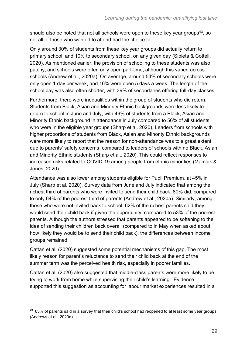should also be noted that not all schools were open to these key year groups<sup>43</sup>, so not all of those who wanted to attend had the choice to.

Only around 30% of students from these key year groups did actually return to primary school, and 10% to secondary school, on any given day (Sibieta & Cottell, 2020). As mentioned earlier, the provision of schooling to these students was also patchy, and schools were often only open part-time, although this varied across schools (Andrew et al., 2020a). On average, around 54% of secondary schools were only open 1 day per week, and 16% were open 5 days a week. The length of the school day was also often shorter, with 39% of secondaries offering full-day classes.

Furthermore, there were inequalities within the group of students who did return. Students from Black, Asian and Minority Ethnic backgrounds were less likely to return to school in June and July, with 49% of students from a Black, Asian and Minority Ethnic background in attendance in July compared to 56% of all students who were in the eligible year groups (Sharp et al. 2020). Leaders from schools with higher proportions of students from Black, Asian and Minority Ethnic backgrounds were more likely to report that the reason for non-attendance was to a great extent due to parents' safety concerns, compared to leaders of schools with no Black, Asian and Minority Ethnic students (Sharp et al., 2020). This could reflect responses to increased risks related to COVID-19 among people from ethnic minorities (Mamluk & Jones, 2020).

Attendance was also lower among students eligible for Pupil Premium, at 45% in July (Sharp et al. 2020). Survey data from June and July indicated that among the richest third of parents who were invited to send their child back, 80% did, compared to only 64% of the poorest third of parents (Andrew et al., 2020a). Similarly, among those who were not invited back to school, 62% of the richest parents said they would send their child back if given the opportunity, compared to 53% of the poorest parents. Although the authors stressed that parents appeared to be softening to the idea of sending their children back overall (compared to in May when asked about how likely they would be to send their child back), the differences between income groups remained.

Cattan et al. (2020) suggested some potential mechanisms of this gap. The most likely reason for parent's reluctance to send their child back at the end of the summer term was the perceived health risk, especially in poorer families.

Cattan et al. (2020) also suggested that middle-class parents were more likely to be trying to work from home while supervising their child's learning. Evidence supported this suggestion as accounting for labour market experiences resulted in a

<sup>&</sup>lt;sup>43</sup> 83% of parents said in a survey that their child's school had reopened to at least some year groups (Andrews et al., 2020a)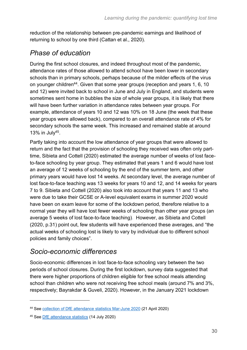reduction of the relationship between pre-pandemic earnings and likelihood of returning to school by one third (Cattan et al., 2020).

### *Phase of education*

During the first school closures, and indeed throughout most of the pandemic, attendance rates of those allowed to attend school have been lower in secondary schools than in primary schools, perhaps because of the milder effects of the virus on younger children<sup>44</sup>. Given that some year groups (reception and years 1, 6, 10 and 12) were invited back to school in June and July in England, and students were sometimes sent home in bubbles the size of whole year groups, it is likely that there will have been further variation in attendance rates between year groups. For example, attendance of years 10 and 12 was 10% on 18 June (the week that these year groups were allowed back), compared to an overall attendance rate of 4% for secondary schools the same week. This increased and remained stable at around 13% in July<sup>45</sup>.

Partly taking into account the low attendance of year groups that were allowed to return and the fact that the provision of schooling they received was often only parttime, Sibieta and Cottell (2020) estimated the average number of weeks of lost faceto-face schooling by year group. They estimated that years 1 and 6 would have lost an average of 12 weeks of schooling by the end of the summer term, and other primary years would have lost 14 weeks. At secondary level, the average number of lost face-to-face teaching was 13 weeks for years 10 and 12, and 14 weeks for years 7 to 9. Sibieta and Cottell (2020) also took into account that years 11 and 13 who were due to take their GCSE or A-level equivalent exams in summer 2020 would have been on exam leave for some of the lockdown period, therefore relative to a normal year they will have lost fewer weeks of schooling than other year groups (an average 5 weeks of lost face-to-face teaching). However, as Sibieta and Cottell (2020, p.31) point out, few students will have experienced these averages, and "the actual weeks of schooling lost is likely to vary by individual due to different school policies and family choices".

#### *Socio-economic differences*

Socio-economic differences in lost face-to-face schooling vary between the two periods of school closures. During the first lockdown, survey data suggested that there were higher proportions of children eligible for free school meals attending school than children who were not receiving free school meals (around 7% and 3%, respectively; Bayrakdar & Guveli, 2020). However, in the January 2021 lockdown

<sup>44</sup> See [collection of DfE attendance statistics Mar-June 2020](https://www.gov.uk/government/publications/coronavirus-covid-19-attendance-in-education-and-early-years-settings) (21 April 2020)

<sup>45</sup> See [DfE attendance statistics](https://explore-education-statistics.service.gov.uk/find-statistics/attendance-in-education-and-early-years-settings-during-the-coronavirus-covid-19-outbreak/2020-week-28) (14 July 2020)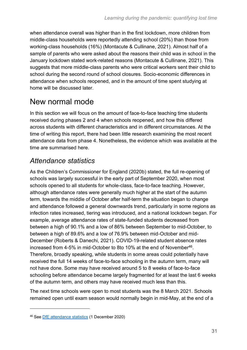when attendance overall was higher than in the first lockdown, more children from middle-class households were reportedly attending school (20%) than those from working-class households (16%) (Montacute & Cullinane, 2021). Almost half of a sample of parents who were asked about the reasons their child was in school in the January lockdown stated work-related reasons (Montacute & Cullinane, 2021). This suggests that more middle-class parents who were critical workers sent their child to school during the second round of school closures. Socio-economic differences in attendance when schools reopened, and in the amount of time spent studying at home will be discussed later.

## <span id="page-30-0"></span>New normal mode

In this section we will focus on the amount of face-to-face teaching time students received during phases 2 and 4 when schools reopened, and how this differed across students with different characteristics and in different circumstances. At the time of writing this report, there had been little research examining the most recent attendance data from phase 4. Nonetheless, the evidence which was available at the time are summarised here.

### *Attendance statistics*

As the Children's Commissioner for England (2020b) stated, the full re-opening of schools was largely successful in the early part of September 2020, when most schools opened to all students for whole-class, face-to-face teaching. However, although attendance rates were generally much higher at the start of the autumn term, towards the middle of October after half-term the situation began to change and attendance followed a general downwards trend, particularly in some regions as infection rates increased, tiering was introduced, and a national lockdown began. For example, average attendance rates of state-funded students decreased from between a high of 90.1% and a low of 86% between September to mid-October, to between a high of 89.6% and a low of 76.9% between mid-October and mid-December (Roberts & Danechi, 2021). COVID-19-related student absence rates increased from 4-5% in mid-October to 8to 10% at the end of November<sup>46</sup>. Therefore, broadly speaking, while students in some areas could potentially have received the full 14 weeks of face-to-face schooling in the autumn term, many will not have done. Some may have received around 5 to 8 weeks of face-to-face schooling before attendance became largely fragmented for at least the last 6 weeks of the autumn term, and others may have received much less than this.

The next time schools were open to most students was the 8 March 2021. Schools remained open until exam season would normally begin in mid-May, at the end of a

<sup>46</sup> See [DfE attendance statistics](https://explore-education-statistics.service.gov.uk/find-statistics/attendance-in-education-and-early-years-settings-during-the-coronavirus-covid-19-outbreak/2020-week-48) (1 December 2020)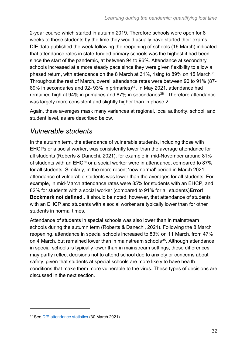2-year course which started in autumn 2019. Therefore schools were open for 8 weeks to these students by the time they would usually have started their exams. DfE data published the week following the reopening of schools (16 March) indicated that attendance rates in state-funded primary schools was the highest it had been since the start of the pandemic, at between 94 to 96%. Attendance at secondary schools increased at a more steady pace since they were given flexibility to allow a phased return, with attendance on the 8 March at 31%, rising to 89% on 15 March<sup>[35](#page-18-1)</sup>. Throughout the rest of March, overall attendance rates were between 90 to 91% (87- 89% in secondaries and 92-93% in primaries)<sup>47</sup>. In May 2021, attendance had remained high at 94% in primaries and 87% in secondaries<sup>[36](#page-19-1)</sup>. Therefore attendance was largely more consistent and slightly higher than in phase 2.

Again, these averages mask many variances at regional, local authority, school, and student level, as are described below.

### *Vulnerable students*

In the autumn term, the attendance of vulnerable students, including those with EHCPs or a social worker, was consistently lower than the average attendance for all students (Roberts & Danechi, 2021), for example in mid-November around 81% of students with an EHCP or a social worker were in attendance, compared to 87% for all students. Similarly, in the more recent 'new normal' period in March 2021, attendance of vulnerable students was lower than the averages for all students. For example, in mid-March attendance rates were 85% for students with an EHCP, and 82% for students with a social worker (compared to 91% for all students)**Error! Bookmark not defined.**. It should be noted, however, that attendance of students with an EHCP and students with a social worker are typically lower than for other students in normal times.

Attendance of students in special schools was also lower than in mainstream schools during the autumn term (Roberts & Danechi, 2021). Following the 8 March reopening, attendance in special schools increased to 83% on 11 March, from 47% on 4 March, but remained lower than in mainstream schools<sup>[35](#page-18-1)</sup>. Although attendance in special schools is typically lower than in mainstream settings, these differences may partly reflect decisions not to attend school due to anxiety or concerns about safety, given that students at special schools are more likely to have health conditions that make them more vulnerable to the virus. These types of decisions are discussed in the next section.

<sup>47</sup> See [DfE attendance statistics](https://explore-education-statistics.service.gov.uk/find-statistics/attendance-in-education-and-early-years-settings-during-the-coronavirus-covid-19-outbreak/2021-week-13) (30 March 2021)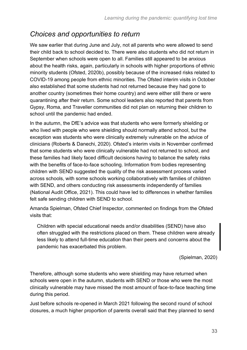#### *Choices and opportunities to return*

We saw earlier that during June and July, not all parents who were allowed to send their child back to school decided to. There were also students who did not return in September when schools were open to all. Families still appeared to be anxious about the health risks, again, particularly in schools with higher proportions of ethnic minority students (Ofsted, 2020b), possibly because of the increased risks related to COVID-19 among people from ethnic minorities. The Ofsted interim visits in October also established that some students had not returned because they had gone to another country (sometimes their home country) and were either still there or were quarantining after their return. Some school leaders also reported that parents from Gypsy, Roma, and Traveller communities did not plan on returning their children to school until the pandemic had ended.

In the autumn, the DfE's advice was that students who were formerly shielding or who lived with people who were shielding should normally attend school, but the exception was students who were clinically extremely vulnerable on the advice of clinicians (Roberts & Danechi, 2020). Ofsted's interim visits in November confirmed that some students who were clinically vulnerable had not returned to school, and these families had likely faced difficult decisions having to balance the safety risks with the benefits of face-to-face schooling. Information from bodies representing children with SEND suggested the quality of the risk assessment process varied across schools, with some schools working collaboratively with families of children with SEND, and others conducting risk assessments independently of families (National Audit Office, 2021). This could have led to differences in whether families felt safe sending children with SEND to school.

Amanda Spielman, Ofsted Chief Inspector, commented on findings from the Ofsted visits that:

Children with special educational needs and/or disabilities (SEND) have also often struggled with the restrictions placed on them. These children were already less likely to attend full-time education than their peers and concerns about the pandemic has exacerbated this problem.

(Spielman, 2020)

Therefore, although some students who were shielding may have returned when schools were open in the autumn, students with SEND or those who were the most clinically vulnerable may have missed the most amount of face-to-face teaching time during this period.

Just before schools re-opened in March 2021 following the second round of school closures, a much higher proportion of parents overall said that they planned to send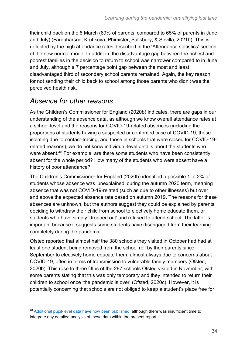their child back on the 8 March (89% of parents, compared to 65% of parents in June and July) (Farquharson, Krutikova, Phimister, Salisbury, & Sevilla, 2021b). This is reflected by the high attendance rates described in the 'Attendance statistics' section of the new normal mode. In addition, the disadvantage gap between the richest and poorest families in the decision to return to school was narrower compared to in June and July, although a 7 percentage point gap between the most and least disadvantaged third of secondary school parents remained. Again, the key reason for not sending their child back to school among those parents who didn't was the perceived health risk.

#### *Absence for other reasons*

As the Children's Commissioner for England (2020b) indicates, there are gaps in our understanding of the absence data, as although we know overall attendance rates at a school-level and the reasons for COVID-19-related absences (including the proportions of students having a suspected or confirmed case of COVID-19, those isolating due to contact-tracing, and those in schools that were closed for COVID-19 related reasons), we do not know individual-level details about the students who were absent.<sup>48</sup> For example, are there some students who have been consistently absent for the whole period? How many of the students who were absent have a history of poor attendance?

The Children's Commissioner for England (2020b) identified a possible 1 to 2% of students whose absence was 'unexplained' during the autumn 2020 term, meaning absence that was not COVID-19-related (such as due to other illnesses) but over and above the expected absence rate based on autumn 2019. The reasons for these absences are unknown, but the authors suggest they could be explained by parents deciding to withdraw their child from school to electively home educate them, or students who have simply 'dropped out' and refused to attend school. The latter is important because it suggests some students have disengaged from their learning completely during the pandemic.

Ofsted reported that almost half the 380 schools they visited in October had had at least one student being removed from the school roll by their parents since September to electively home educate them, almost always due to concerns about COVID-19, often in terms of transmission to vulnerable family members (Ofsted, 2020b). This rose to three fifths of the 297 schools Ofsted visited in November, with some parents stating that this was only temporary and they intended to return their children to school once 'the pandemic is over' (Ofsted, 2020c). However, it is potentially concerning that schools are not obliged to keep a student's place free for

<sup>48</sup> [Additional pupil-level data have now been published,](https://explore-education-statistics.service.gov.uk/find-statistics/pupil-absence-in-schools-in-england-autumn-term) although there was insufficient time to integrate any detailed analysis of these data within the present report.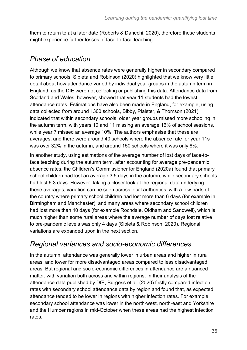them to return to at a later date (Roberts & Danechi, 2020), therefore these students might experience further losses of face-to-face teaching.

#### *Phase of education*

Although we know that absence rates were generally higher in secondary compared to primary schools, Sibieta and Robinson (2020) highlighted that we know very little detail about how attendance varied by individual year groups in the autumn term in England, as the DfE were not collecting or publishing this data. Attendance data from Scotland and Wales, however, showed that year 11 students had the lowest attendance rates. Estimations have also been made in England, for example, using data collected from around 1300 schools, Bibby, Plaister, & Thomson (2021) indicated that within secondary schools, older year groups missed more schooling in the autumn term, with years 10 and 11 missing an average 16% of school sessions, while year 7 missed an average 10%. The authors emphasise that these are averages, and there were around 40 schools where the absence rate for year 11s was over 32% in the autumn, and around 150 schools where it was only 8%.

In another study, using estimations of the average number of lost days of face-toface teaching during the autumn term, after accounting for average pre-pandemic absence rates, the Children's Commissioner for England (2020a) found that primary school children had lost an average 3.5 days in the autumn, while secondary schools had lost 6.3 days. However, taking a closer look at the regional data underlying these averages, variation can be seen across local authorities, with a few parts of the country where primary school children had lost more than 6 days (for example in Birmingham and Manchester), and many areas where secondary school children had lost more than 10 days (for example Rochdale, Oldham and Sandwell), which is much higher than some rural areas where the average number of days lost relative to pre-pandemic levels was only 4 days (Sibieta & Robinson, 2020). Regional variations are expanded upon in the next section.

#### *Regional variances and socio-economic differences*

In the autumn, attendance was generally lower in urban areas and higher in rural areas, and lower for more disadvantaged areas compared to less disadvantaged areas. But regional and socio-economic differences in attendance are a nuanced matter, with variation both across and within regions. In their analysis of the attendance data published by DfE, Burgess et al. (2020) firstly compared infection rates with secondary school attendance data by region and found that, as expected, attendance tended to be lower in regions with higher infection rates. For example, secondary school attendance was lower in the north-west, north-east and Yorkshire and the Humber regions in mid-October when these areas had the highest infection rates.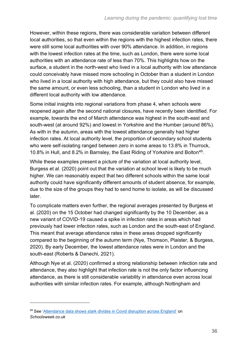However, within these regions, there was considerable variation between different local authorities, so that even within the regions with the highest infection rates, there were still some local authorities with over 90% attendance. In addition, in regions with the lowest infection rates at the time, such as London, there were some local authorities with an attendance rate of less than 70%. This highlights how on the surface, a student in the north-west who lived in a local authority with low attendance could conceivably have missed more schooling in October than a student in London who lived in a local authority with high attendance, but they could also have missed the same amount, or even less schooling, than a student in London who lived in a different local authority with low attendance.

Some initial insights into regional variations from phase 4, when schools were reopened again after the second national closures, have recently been identified. For example, towards the end of March attendance was highest in the south-east and south-west (at around 92%) and lowest in Yorkshire and the Humber (around 86%). As with in the autumn, areas with the lowest attendance generally had higher infection rates. At local authority level, the proportion of secondary school students who were self-isolating ranged between zero in some areas to 13.8% in Thurrock, 10.8% in Hull, and 8.2% in Barnsley, the East Riding of Yorkshire and Bolton<sup>49</sup>.

While these examples present a picture of the variation at local authority level, Burgess et al. (2020) point out that the variation at school level is likely to be much higher. We can reasonably expect that two different schools within the same local authority could have significantly different amounts of student absence, for example, due to the size of the groups they had to send home to isolate, as will be discussed later.

To complicate matters even further, the regional averages presented by Burgess et al. (2020) on the 15 October had changed significantly by the 10 December, as a new variant of COVID-19 caused a spike in infection rates in areas which had previously had lower infection rates, such as London and the south-east of England. This meant that average attendance rates in these areas dropped significantly compared to the beginning of the autumn term (Nye, Thomson, Plaister, & Burgess, 2020). By early December, the lowest attendance rates were in London and the south-east (Roberts & Danechi, 2021).

Although Nye et al. (2020) confirmed a strong relationship between infection rate and attendance, they also highlight that infection rate is not the only factor influencing attendance, as there is still considerable variability in attendance even across local authorities with similar infection rates. For example, although Nottingham and

<sup>49</sup> See ['Attendance data shows stark divides in Covid disruption across England'](https://schoolsweek.co.uk/attendance-data-shows-stark-divides-in-covid-disruption-across-england/) on *Schoolsweek.co.uk*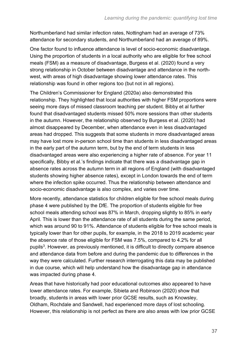Northumberland had similar infection rates, Nottingham had an average of 73% attendance for secondary students, and Northumberland had an average of 89%.

One factor found to influence attendance is level of socio-economic disadvantage. Using the proportion of students in a local authority who are eligible for free school meals (FSM) as a measure of disadvantage, Burgess et al. (2020) found a very strong relationship in October between disadvantage and attendance in the northwest, with areas of high disadvantage showing lower attendance rates. This relationship was found in other regions too (but not in all regions).

The Children's Commissioner for England (2020a) also demonstrated this relationship. They highlighted that local authorities with higher FSM proportions were seeing more days of missed classroom teaching per student. Bibby et al further found that disadvantaged students missed 50% more sessions than other students in the autumn. However, the relationship observed by Burgess et al. (2020) had almost disappeared by December, when attendance even in less disadvantaged areas had dropped. This suggests that some students in more disadvantaged areas may have lost more in-person school time than students in less disadvantaged areas in the early part of the autumn term, but by the end of term students in less disadvantaged areas were also experiencing a higher rate of absence. For year 11 specifically, Bibby et al.'s findings indicate that there was a disadvantage gap in absence rates across the autumn term in all regions of England (with disadvantaged students showing higher absence rates), except in London towards the end of term where the infection spike occurred. Thus the relationship between attendance and socio-economic disadvantage is also complex, and varies over time.

More recently, attendance statistics for children eligible for free school meals during phase 4 were published by the DfE. The proportion of students eligible for free school meals attending school was 87% in March, dropping slightly to 85% in early April. This is lower than the attendance rate of all students during the same period, which was around 90 to 91%. Attendance of students eligible for free school meals is typically lower than for other pupils, for example, in the 2018 to 2019 academic year the absence rate of those eligible for FSM was 7.5%, compared to 4.2% for all pupils<sup>[3](#page-12-0)</sup>. However, as previously mentioned, it is difficult to directly compare absence and attendance data from before and during the pandemic due to differences in the way they were calculated. Further research interrogating this data may be published in due course, which will help understand how the disadvantage gap in attendance was impacted during phase 4.

Areas that have historically had poor educational outcomes also appeared to have lower attendance rates. For example, Sibieta and Robinson (2020) show that broadly, students in areas with lower prior GCSE results, such as Knowsley, Oldham, Rochdale and Sandwell, had experienced more days of lost schooling. However, this relationship is not perfect as there are also areas with low prior GCSE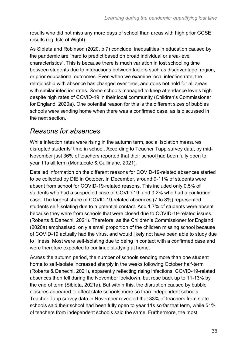results who did not miss any more days of school than areas with high prior GCSE results (eg, Isle of Wight).

As Sibieta and Robinson (2020, p.7) conclude, inequalities in education caused by the pandemic are "hard to predict based on broad individual or area-level characteristics". This is because there is much variation in lost schooling time between students due to interactions between factors such as disadvantage, region, or prior educational outcomes. Even when we examine local infection rate, the relationship with absence has changed over time, and does not hold for all areas with similar infection rates. Some schools managed to keep attendance levels high despite high rates of COVID-19 in their local community (Children's Commissioner for England, 2020a). One potential reason for this is the different sizes of bubbles schools were sending home when there was a confirmed case, as is discussed in the next section.

#### *Reasons for absences*

While infection rates were rising in the autumn term, social isolation measures disrupted students' time in school. According to Teacher Tapp survey data, by mid-November just 36% of teachers reported that their school had been fully open to year 11s all term (Montacute & Cullinane, 2021).

Detailed information on the different reasons for COVID-19-related absences started to be collected by DfE in October. In December, around 9-11% of students were absent from school for COVID-19-related reasons. This included only 0.5% of students who had a suspected case of COVID-19, and 0.2% who had a confirmed case. The largest share of COVID-19-related absences (7 to 8%) represented students self-isolating due to a potential contact. And 1.7% of students were absent because they were from schools that were closed due to COVID-19-related issues (Roberts & Danechi, 2021). Therefore, as the Children's Commissioner for England (2020a) emphasised, only a small proportion of the children missing school because of COVID-19 actually had the virus, and would likely not have been able to study due to illness. Most were self-isolating due to being in contact with a confirmed case and were therefore expected to continue studying at home.

Across the autumn period, the number of schools sending more than one student home to self-isolate increased sharply in the weeks following October half-term (Roberts & Danechi, 2021), apparently reflecting rising infections. COVID-19-related absences then fell during the November lockdown, but rose back up to 11-13% by the end of term (Sibieta, 2021a). But within this, the disruption caused by bubble closures appeared to affect state schools more so than independent schools. Teacher Tapp survey data in November revealed that 33% of teachers from state schools said their school had been fully open to year 11s so far that term, while 51% of teachers from independent schools said the same. Furthermore, the most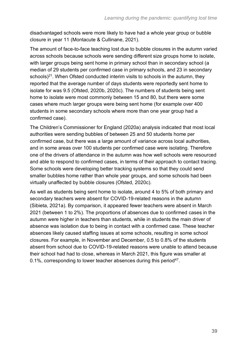disadvantaged schools were more likely to have had a whole year group or bubble closure in year 11 (Montacute & Cullinane, 2021).

The amount of face-to-face teaching lost due to bubble closures in the autumn varied across schools because schools were sending different size groups home to isolate, with larger groups being sent home in primary school than in secondary school (a median of 29 students per confirmed case in primary schools, and 23 in secondary schools) $21$ . When Ofsted conducted interim visits to schools in the autumn, they reported that the average number of days students were reportedly sent home to isolate for was 9.5 (Ofsted, 2020b, 2020c). The numbers of students being sent home to isolate were most commonly between 15 and 80, but there were some cases where much larger groups were being sent home (for example over 400 students in some secondary schools where more than one year group had a confirmed case).

The Children's Commissioner for England (2020a) analysis indicated that most local authorities were sending bubbles of between 25 and 50 students home per confirmed case, but there was a large amount of variance across local authorities, and in some areas over 100 students per confirmed case were isolating. Therefore one of the drivers of attendance in the autumn was how well schools were resourced and able to respond to confirmed cases, in terms of their approach to contact tracing. Some schools were developing better tracking systems so that they could send smaller bubbles home rather than whole year groups, and some schools had been virtually unaffected by bubble closures (Ofsted, 2020c).

As well as students being sent home to isolate, around 4 to 5% of both primary and secondary teachers were absent for COVID-19-related reasons in the autumn (Sibieta, 2021a). By comparison, it appeared fewer teachers were absent in March 2021 (between 1 to 2%). The proportions of absences due to confirmed cases in the autumn were higher in teachers than students, while in students the main driver of absence was isolation due to being in contact with a confirmed case. These teacher absences likely caused staffing issues at some schools, resulting in some school closures. For example, in November and December, 0.5 to 0.8% of the students absent from school due to COVID-19-related reasons were unable to attend because their school had had to close, whereas in March 2021, this figure was smaller at 0.1%, corresponding to lower teacher absences during this period<sup>[47](#page-31-0)</sup>.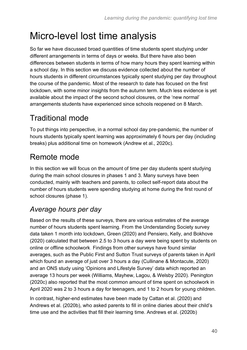# Micro-level lost time analysis

So far we have discussed broad quantities of time students spent studying under different arrangements in terms of days or weeks. But there have also been differences between students in terms of how many hours they spent learning within a school day. In this section we discuss evidence collected about the number of hours students in different circumstances typically spent studying per day throughout the course of the pandemic. Most of the research to date has focused on the first lockdown, with some minor insights from the autumn term. Much less evidence is yet available about the impact of the second school closures, or the 'new normal' arrangements students have experienced since schools reopened on 8 March.

## Traditional mode

To put things into perspective, in a normal school day pre-pandemic, the number of hours students typically spent learning was approximately 6 hours per day (including breaks) plus additional time on homework (Andrew et al., 2020c).

## Remote mode

In this section we will focus on the amount of time per day students spent studying during the main school closures in phases 1 and 3. Many surveys have been conducted, mainly with teachers and parents, to collect self-report data about the number of hours students were spending studying at home during the first round of school closures (phase 1).

### *Average hours per day*

Based on the results of these surveys, there are various estimates of the average number of hours students spent learning. From the Understanding Society survey data taken 1 month into lockdown, Green (2020) and Pensiero, Kelly, and Bokhove (2020) calculated that between 2.5 to 3 hours a day were being spent by students on online or offline schoolwork. Findings from other surveys have found similar averages, such as the Public First and Sutton Trust surveys of parents taken in April which found an average of just over 3 hours a day (Cullinane & Montacute, 2020) and an ONS study using 'Opinions and Lifestyle Survey' data which reported an average 13 hours per week (Williams, Mayhew, Lagou, & Welsby 2020). Penington (2020c) also reported that the most common amount of time spent on schoolwork in April 2020 was 2 to 3 hours a day for teenagers, and 1 to 2 hours for young children.

In contrast, higher-end estimates have been made by Cattan et al. (2020) and Andrews et al. (2020b), who asked parents to fill in online diaries about their child's time use and the activities that fill their learning time. Andrews et al. (2020b)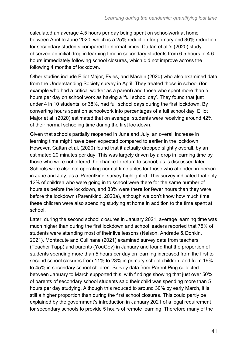calculated an average 4.5 hours per day being spent on schoolwork at home between April to June 2020, which is a 25% reduction for primary and 30% reduction for secondary students compared to normal times. Cattan et al.'s (2020) study observed an initial drop in learning time in secondary students from 6.5 hours to 4.6 hours immediately following school closures, which did not improve across the following 4 months of lockdown.

Other studies include Elliot Major, Eyles, and Machin (2020) who also examined data from the Understanding Society survey in April. They treated those in school (for example who had a critical worker as a parent) and those who spent more than 5 hours per day on school work as having a 'full school day'. They found that just under 4 in 10 students, or 38%, had full school days during the first lockdown. By converting hours spent on schoolwork into percentages of a full school day, Elliot Major et al. (2020) estimated that on average, students were receiving around 42% of their normal schooling time during the first lockdown.

Given that schools partially reopened in June and July, an overall increase in learning time might have been expected compared to earlier in the lockdown. However, Cattan et al. (2020) found that it actually dropped slightly overall, by an estimated 20 minutes per day. This was largely driven by a drop in learning time by those who were not offered the chance to return to school, as is discussed later. Schools were also not operating normal timetables for those who attended in-person in June and July, as a 'Parentkind' survey highlighted. This survey indicated that only 12% of children who were going in to school were there for the same number of hours as before the lockdown, and 83% were there for fewer hours than they were before the lockdown (Parentkind, 2020a), although we don't know how much time these children were also spending studying at home in addition to the time spent at school.

Later, during the second school closures in January 2021, average learning time was much higher than during the first lockdown and school leaders reported that 75% of students were attending most of their live lessons (Nelson, Andrade & Donkin, 2021). Montacute and Cullinane (2021) examined survey data from teachers (Teacher Tapp) and parents (YouGov) in January and found that the proportion of students spending more than 5 hours per day on learning increased from the first to second school closures from 11% to 23% in primary school children, and from 19% to 45% in secondary school children. Survey data from Parent Ping collected between January to March supported this, with findings showing that just over 50% of parents of secondary school students said their child was spending more than 5 hours per day studying. Although this reduced to around 30% by early March, it is still a higher proportion than during the first school closures. This could partly be explained by the government's introduction in January 2021 of a legal requirement for secondary schools to provide 5 hours of remote learning. Therefore many of the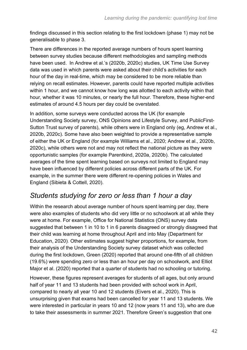findings discussed in this section relating to the first lockdown (phase 1) may not be generalisable to phase 3.

There are differences in the reported average numbers of hours spent learning between survey studies because different methodologies and sampling methods have been used. In Andrew et al.'s (2020b, 2020c) studies, UK Time Use Survey data was used in which parents were asked about their child's activities for each hour of the day in real-time, which may be considered to be more reliable than relying on recall estimates. However, parents could have reported multiple activities within 1 hour, and we cannot know how long was allotted to each activity within that hour, whether it was 10 minutes, or nearly the full hour. Therefore, these higher-end estimates of around 4.5 hours per day could be overstated.

In addition, some surveys were conducted across the UK (for example Understanding Society survey, ONS Opinions and Lifestyle Survey, and PublicFirst-Sutton Trust survey of parents), while others were in England only (eg, Andrew et al., 2020b, 2020c). Some have also been weighted to provide a representative sample of either the UK or England (for example Williams et al., 2020; Andrew et al., 2020b, 2020c), while others were not and may not reflect the national picture as they were opportunistic samples (for example Parentkind, 2020a, 2020b). The calculated averages of the time spent learning based on surveys not limited to England may have been influenced by different policies across different parts of the UK. For example, in the summer there were different re-opening policies in Wales and England (Sibieta & Cottell, 2020).

#### *Students studying for zero or less than 1 hour a day*

Within the research about average number of hours spent learning per day, there were also examples of students who did very little or no schoolwork at all while they were at home. For example, Office for National Statistics (ONS) survey data suggested that between 1 in 10 to 1 in 6 parents disagreed or strongly disagreed that their child was learning at home throughout April and into May (Department for Education, 2020). Other estimates suggest higher proportions, for example, from their analysis of the Understanding Society survey dataset which was collected during the first lockdown, Green (2020) reported that around one-fifth of all children (19.6%) were spending zero or less than an hour per day on schoolwork, and Elliot Major et al. (2020) reported that a quarter of students had no schooling or tutoring.

However, these figures represent averages for students of all ages, but only around half of year 11 and 13 students had been provided with school work in April, compared to nearly all year 10 and 12 students (Eivers et al., 2020). This is unsurprising given that exams had been cancelled for year 11 and 13 students. We were interested in particular in years 10 and 12 (now years 11 and 13), who are due to take their assessments in summer 2021. Therefore Green's suggestion that one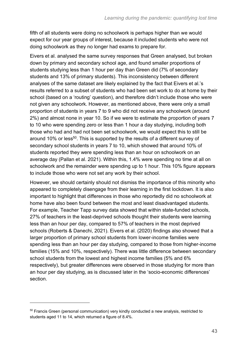fifth of all students were doing no schoolwork is perhaps higher than we would expect for our year groups of interest, because it included students who were not doing schoolwork as they no longer had exams to prepare for.

Eivers et al. analysed the same survey responses that Green analysed, but broken down by primary and secondary school age, and found smaller proportions of students studying less than 1 hour per day than Green did (7% of secondary students and 13% of primary students). This inconsistency between different analyses of the same dataset are likely explained by the fact that Eivers et al.'s results referred to a subset of students who had been set work to do at home by their school (based on a 'routing' question), and therefore didn't include those who were not given any schoolwork. However, as mentioned above, there were only a small proportion of students in years 7 to 9 who did not receive any schoolwork (around 2%) and almost none in year 10. So if we were to estimate the proportion of years 7 to 10 who were spending zero or less than 1 hour a day studying, including both those who had and had not been set schoolwork, we would expect this to still be around 10% or less<sup>50</sup>. This is supported by the results of a different survey of secondary school students in years 7 to 10, which showed that around 10% of students reported they were spending less than an hour on schoolwork on an average day (Pallan et al. 2021). Within this, 1.4% were spending no time at all on schoolwork and the remainder were spending up to 1 hour. This 10% figure appears to include those who were not set any work by their school.

However, we should certainly should not dismiss the importance of this minority who appeared to completely disengage from their learning in the first lockdown. It is also important to highlight that differences in those who reportedly did no schoolwork at home have also been found between the most and least disadvantaged students. For example, Teacher Tapp survey data showed that within state-funded schools, 27% of teachers in the least-deprived schools thought their students were learning less than an hour per day, compared to 57% of teachers in the most deprived schools (Roberts & Danechi, 2021). Eivers et al. (2020) findings also showed that a larger proportion of primary school students from lower-income families were spending less than an hour per day studying, compared to those from higher-income families (15% and 10%, respectively). There was little difference between secondary school students from the lowest and highest income families (5% and 6% respectively), but greater differences were observed in those studying for more than an hour per day studying, as is discussed later in the 'socio-economic differences' section.

 $50$  Francis Green (personal communication) very kindly conducted a new analysis, restricted to students aged 11 to 14, which returned a figure of 8.4%.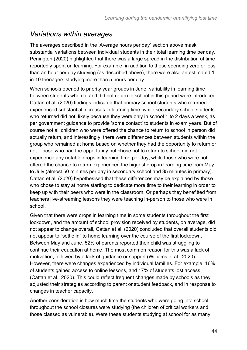#### *Variations within averages*

The averages described in the 'Average hours per day' section above mask substantial variations between individual students in their total learning time per day. Penington (2020) highlighted that there was a large spread in the distribution of time reportedly spent on learning. For example, in addition to those spending zero or less than an hour per day studying (as described above), there were also an estimated 1 in 10 teenagers studying more than 5 hours per day.

When schools opened to priority year groups in June, variability in learning time between students who did and did not return to school in this period were introduced. Cattan et al. (2020) findings indicated that primary school students who returned experienced substantial increases in learning time, while secondary school students who returned did not, likely because they were only in school 1 to 2 days a week, as per government guidance to provide 'some contact' to students in exam years. But of course not all children who were offered the chance to return to school in person did actually return, and interestingly, there were differences between students within the group who remained at home based on whether they had the opportunity to return or not. Those who had the opportunity but chose not to return to school did not experience any notable drops in learning time per day, while those who were not offered the chance to return experienced the biggest drop in learning time from May to July (almost 50 minutes per day in secondary school and 35 minutes in primary). Cattan et al. (2020) hypothesised that these differences may be explained by those who chose to stay at home starting to dedicate more time to their learning in order to keep up with their peers who were in the classroom. Or perhaps they benefitted from teachers live-streaming lessons they were teaching in-person to those who were in school.

Given that there were drops in learning time in some students throughout the first lockdown, and the amount of school provision received by students, on average, did not appear to change overall, Cattan et al. (2020) concluded that overall students did not appear to "settle in" to home learning over the course of the first lockdown. Between May and June, 52% of parents reported their child was struggling to continue their education at home. The most common reason for this was a lack of motivation, followed by a lack of guidance or support (Williams et al., 2020). However, there were changes experienced by individual families. For example, 16% of students gained access to online lessons, and 17% of students lost access (Cattan et al., 2020). This could reflect frequent changes made by schools as they adjusted their strategies according to parent or student feedback, and in response to changes in teacher capacity.

Another consideration is how much time the students who were going into school throughout the school closures were studying (the children of critical workers and those classed as vulnerable). Were these students studying at school for as many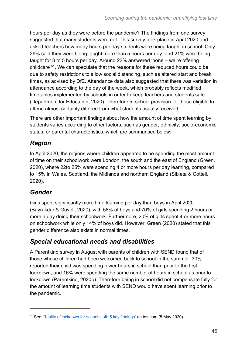hours per day as they were before the pandemic? The findings from one survey suggested that many students were not. This survey took place in April 2020 and asked teachers how many hours per day students were being taught in school. Only 29% said they were being taught more than 5 hours per day, and 21% were being taught for 3 to 5 hours per day. Around 22% answered 'none – we're offering childcare*' 51* . We can speculate that the reasons for these reduced hours could be due to safety restrictions to allow social distancing, such as altered start and break times, as advised by DfE. Attendance data also suggested that there was variation in attendance according to the day of the week, which probably reflects modified timetables implemented by schools in order to keep teachers and students safe (Department for Education, 2020). Therefore in-school provision for those eligible to attend almost certainly differed from what students usually received.

There are other important findings about how the amount of time spent learning by students varies according to other factors, such as gender, ethnicity, socio-economic status, or parental characteristics, which are summarised below.

#### *Region*

In April 2020, the regions where children appeared to be spending the most amount of time on their schoolwork were London, the south and the east of England (Green, 2020), where 22to 25% were spending 4 or more hours per day learning, compared to 15% in Wales, Scotland, the Midlands and northern England (Sibieta & Cottell, 2020).

#### *Gender*

Girls spent significantly more time learning per day than boys in April 2020 (Bayrakdar & Guveli, 2020), with 58% of boys and 70% of girls spending 2 hours or more a day doing their schoolwork. Furthermore, 20% of girls spent 4 or more hours on schoolwork while only 14% of boys did. However, Green (2020) stated that this gender difference also exists in normal times.

#### *Special educational needs and disabilities*

A Parentkind survey in August with parents of children with SEND found that of those whose children had been welcomed back to school in the summer, 30% reported their child was spending fewer hours in school than prior to the first lockdown, and 16% were spending the same number of hours in school as prior to lockdown (Parentkind, 2020b). Therefore being in school did not compensate fully for the amount of learning time students with SEND would have spent learning prior to the pandemic.

<sup>51</sup> See ['Reality of lockdown for school staff: 5 key findings'](https://www.tes.com/news/reality-lockdown-school-staff-5-key-findings) on tes.com (5 May 2020)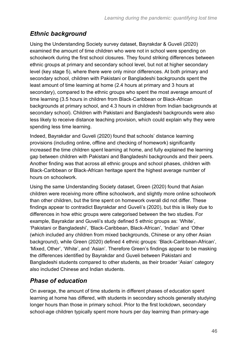#### *Ethnic background*

Using the Understanding Society survey dataset, Bayrakdar & Guveli (2020) examined the amount of time children who were not in school were spending on schoolwork during the first school closures. They found striking differences between ethnic groups at primary and secondary school level, but not at higher secondary level (key stage 5), where there were only minor differences. At both primary and secondary school, children with Pakistani or Bangladeshi backgrounds spent the least amount of time learning at home (2.4 hours at primary and 3 hours at secondary), compared to the ethnic groups who spent the most average amount of time learning (3.5 hours in children from Black-Caribbean or Black-African backgrounds at primary school, and 4.3 hours in children from Indian backgrounds at secondary school). Children with Pakistani and Bangladeshi backgrounds were also less likely to receive distance teaching provision, which could explain why they were spending less time learning.

Indeed, Bayrakdar and Guveli (2020) found that schools' distance learning provisions (including online, offline and checking of homework) significantly increased the time children spent learning at home, and fully explained the learning gap between children with Pakistani and Bangladeshi backgrounds and their peers. Another finding was that across all ethnic groups and school phases, children with Black-Caribbean or Black-African heritage spent the highest average number of hours on schoolwork.

Using the same Understanding Society dataset, Green (2020) found that Asian children were receiving more offline schoolwork, and slightly more online schoolwork than other children, but the time spent on homework overall did not differ. These findings appear to contradict Bayrakdar and Guveli's (2020), but this is likely due to differences in how ethic groups were categorised between the two studies. For example, Bayrakdar and Guveli's study defined 5 ethnic groups as: 'White', 'Pakistani or Bangladeshi', 'Black-Caribbean, Black-African', 'Indian' and 'Other (which included any children from mixed backgrounds, Chinese or any other Asian background), while Green (2020) defined 4 ethnic groups: 'Black-Caribbean-African', 'Mixed, Other', 'White', and 'Asian'. Therefore Green's findings appear to be masking the differences identified by Bayrakdar and Guveli between Pakistani and Bangladeshi students compared to other students, as their broader 'Asian' category also included Chinese and Indian students.

#### *Phase of education*

On average, the amount of time students in different phases of education spent learning at home has differed, with students in secondary schools generally studying longer hours than those in primary school. Prior to the first lockdown, secondary school-age children typically spent more hours per day learning than primary-age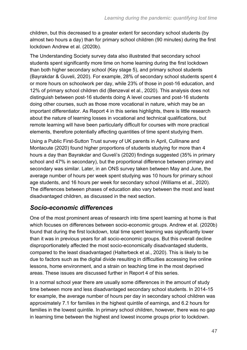children, but this decreased to a greater extent for secondary school students (by almost two hours a day) than for primary school children (90 minutes) during the first lockdown Andrew et al. (2020b).

The Understanding Society survey data also illustrated that secondary school students spent significantly more time on home learning during the first lockdown than both higher secondary school (Key stage 5), and primary school students (Bayrakdar & Guveli, 2020). For example, 28% of secondary school students spent 4 or more hours on schoolwork per day, while 23% of those in post-16 education, and 12% of primary school children did (Benzeval et al., 2020). This analysis does not distinguish between post-16 students doing A level courses and post-16 students doing other courses, such as those more vocational in nature, which may be an important differentiator. As Report 4 in this series highlights, there is little research about the nature of learning losses in vocational and technical qualifications, but remote learning will have been particularly difficult for courses with more practical elements, therefore potentially affecting quantities of time spent studying them.

Using a Public First-Sutton Trust survey of UK parents in April, Cullinane and Montacute (2020) found higher proportions of students studying for more than 4 hours a day than Bayrakdar and Guveli's (2020) findings suggested (35% in primary school and 47% in secondary), but the proportional difference between primary and secondary was similar. Later, in an ONS survey taken between May and June, the average number of hours per week spent studying was 10 hours for primary school age students, and 16 hours per week for secondary school (Williams et al., 2020). The differences between phases of education also vary between the most and least disadvantaged children, as discussed in the next section.

#### *Socio-economic differences*

One of the most prominent areas of research into time spent learning at home is that which focuses on differences between socio-economic groups. Andrew et al. (2020b) found that during the first lockdown, total time spent learning was significantly lower than it was in previous years for all socio-economic groups. But this overall decline disproportionately affected the most socio-economically disadvantaged students, compared to the least disadvantaged (Halterbeck et al., 2020). This is likely to be due to factors such as the digital divide resulting in difficulties accessing live online lessons, home environment, and a strain on teaching time in the most deprived areas. These issues are discussed further in Report 4 of this series.

In a normal school year there are usually some differences in the amount of study time between more and less disadvantaged secondary school students. In 2014-15 for example, the average number of hours per day in secondary school children was approximately 7.1 for families in the highest quintile of earnings, and 6.2 hours for families in the lowest quintile. In primary school children, however, there was no gap in learning time between the highest and lowest income groups prior to lockdown.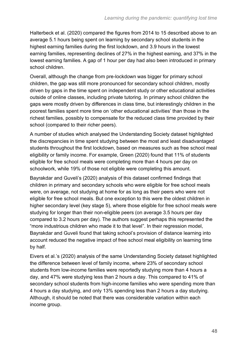Halterbeck et al. (2020) compared the figures from 2014 to 15 described above to an average 5.1 hours being spent on learning by secondary school students in the highest earning families during the first lockdown, and 3.9 hours in the lowest earning families, representing declines of 27% in the highest earning, and 37% in the lowest earning families. A gap of 1 hour per day had also been introduced in primary school children.

Overall, although the change from pre-lockdown was bigger for primary school children, the gap was still more pronounced for secondary school children, mostly driven by gaps in the time spent on independent study or other educational activities outside of online classes, including private tutoring. In primary school children the gaps were mostly driven by differences in class time, but interestingly children in the poorest families spent more time on 'other educational activities' than those in the richest families, possibly to compensate for the reduced class time provided by their school (compared to their richer peers).

A number of studies which analysed the Understanding Society dataset highlighted the discrepancies in time spent studying between the most and least disadvantaged students throughout the first lockdown, based on measures such as free school meal eligibility or family income. For example, Green (2020) found that 11% of students eligible for free school meals were completing more than 4 hours per day on schoolwork, while 19% of those not eligible were completing this amount.

Bayrakdar and Guveli's (2020) analysis of this dataset confirmed findings that children in primary and secondary schools who were eligible for free school meals were, on average, not studying at home for as long as their peers who were not eligible for free school meals. But one exception to this were the oldest children in higher secondary level (key stage 5), where those eligible for free school meals were studying for longer than their non-eligible peers (on average 3.5 hours per day compared to 3.2 hours per day). The authors suggest perhaps this represented the "more industrious children who made it to that level". In their regression model, Bayrakdar and Guveli found that taking school's provision of distance learning into account reduced the negative impact of free school meal eligibility on learning time by half.

Eivers et al.'s (2020) analysis of the same Understanding Society dataset highlighted the difference between level of family income, where 23% of secondary school students from low-income families were reportedly studying more than 4 hours a day, and 47% were studying less than 2 hours a day. This compared to 41% of secondary school students from high-income families who were spending more than 4 hours a day studying, and only 13% spending less than 2 hours a day studying. Although, it should be noted that there was considerable variation within each income group.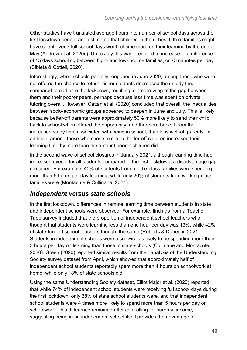Other studies have translated average hours into number of school days across the first lockdown period, and estimated that children in the richest fifth of families might have spent over 7 full school days worth of time more on their learning by the end of May (Andrew et al. 2020c). Up to July this was predicted to increase to a difference of 15 days schooling between high- and low-income families, or 75 minutes per day (Sibieta & Cottell, 2020).

Interestingly, when schools partially reopened in June 2020, among those who were not offered the chance to return, richer students decreased their study time compared to earlier in the lockdown, resulting in a narrowing of the gap between them and their poorer peers, perhaps because less time was spent on private tutoring overall. However, Cattan et al. (2020) concluded that overall, the inequalities between socio-economic groups appeared to deepen in June and July. This is likely because better-off parents were approximately 50% more likely to send their child back to school when offered the opportunity, and therefore benefit from the increased study time associated with being in school, than less well-off parents. In addition, among those who chose to return, better-off children increased their learning time by more than the amount poorer children did.

In the second wave of school closures in January 2021, although learning time had increased overall for all students compared to the first lockdown, a disadvantage gap remained. For example, 40% of students from middle-class families were spending more than 5 hours per day learning, while only 26% of students from working-class families were (Montacute & Cullinane, 2021).

#### *Independent versus state schools*

In the first lockdown, differences in remote learning time between students in state and independent schools were observed. For example, findings from a Teacher Tapp survey included that the proportion of independent school teachers who thought that students were learning less than one hour per day was 13%, while 42% of state-funded school teachers thought the same (Roberts & Danechi, 2021). Students in independent schools were also twice as likely to be spending more than 5 hours per day on learning than those in state schools (Cullinane and Montacute, 2020). Green (2020) reported similar results from their analysis of the Understanding Society survey dataset from April, which showed that approximately half of independent school students reportedly spent more than 4 hours on schoolwork at home, while only 18% of state schools did.

Using the same Understanding Society dataset, Elliot Major et al. (2020) reported that while 74% of independent school students were receiving full school days during the first lockdown, only 38% of state school students were, and that independent school students were 4 times more likely to spend more than 5 hours per day on schoolwork. This difference remained after controlling for parental income, suggesting being in an independent school itself provides the advantage of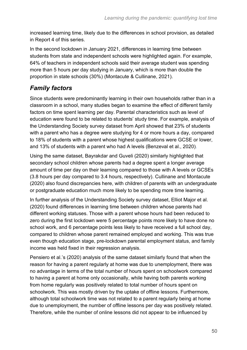increased learning time, likely due to the differences in school provision, as detailed in Report 4 of this series.

In the second lockdown in January 2021, differences in learning time between students from state and independent schools were highlighted again. For example, 64% of teachers in independent schools said their average student was spending more than 5 hours per day studying in January, which is more than double the proportion in state schools (30%) (Montacute & Cullinane, 2021).

#### *Family factors*

Since students were predominantly learning in their own households rather than in a classroom in a school, many studies began to examine the effect of different family factors on time spent learning per day. Parental characteristics such as level of education were found to be related to students' study time. For example, analysis of the Understanding Society survey dataset from April showed that 23% of students with a parent who has a degree were studying for 4 or more hours a day, compared to 18% of students with a parent whose highest qualifications were GCSE or lower, and 13% of students with a parent who had A levels (Benzeval et al., 2020).

Using the same dataset, Bayrakdar and Guveli (2020) similarly highlighted that secondary school children whose parents had a degree spent a longer average amount of time per day on their learning compared to those with A levels or GCSEs (3.8 hours per day compared to 3.4 hours, respectively). Cullinane and Montacute (2020) also found discrepancies here, with children of parents with an undergraduate or postgraduate education much more likely to be spending more time learning.

In further analysis of the Understanding Society survey dataset, Elliot Major et al. (2020) found differences in learning time between children whose parents had different working statuses. Those with a parent whose hours had been reduced to zero during the first lockdown were 5 percentage points more likely to have done no school work, and 6 percentage points less likely to have received a full school day, compared to children whose parent remained employed and working. This was true even though education stage, pre-lockdown parental employment status, and family income was held fixed in their regression analysis.

Pensiero et al.'s (2020) analysis of the same dataset similarly found that when the reason for having a parent regularly at home was due to unemployment, there was no advantage in terms of the total number of hours spent on schoolwork compared to having a parent at home only occasionally, while having both parents working from home regularly was positively related to total number of hours spent on schoolwork. This was mostly driven by the uptake of offline lessons. Furthermore, although total schoolwork time was not related to a parent regularly being at home due to unemployment, the number of offline lessons per day was positively related. Therefore, while the number of online lessons did not appear to be influenced by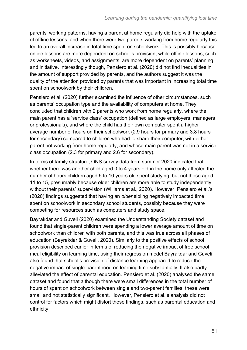parents' working patterns, having a parent at home regularly did help with the uptake of offline lessons, and when there were two parents working from home regularly this led to an overall increase in total time spent on schoolwork. This is possibly because online lessons are more dependent on school's provision, while offline lessons, such as worksheets, videos, and assignments, are more dependent on parents' planning and initiative. Interestingly though, Pensiero et al. (2020) did not find inequalities in the amount of support provided by parents, and the authors suggest it was the quality of the attention provided by parents that was important in increasing total time spent on schoolwork by their children.

Pensiero et al. (2020) further examined the influence of other circumstances, such as parents' occupation type and the availability of computers at home. They concluded that children with 2 parents who work from home regularly, where the main parent has a 'service class' occupation (defined as large employers, managers or professionals), and where the child has their own computer spent a higher average number of hours on their schoolwork (2.9 hours for primary and 3.8 hours for secondary) compared to children who had to share their computer, with either parent not working from home regularly, and whose main parent was not in a service class occupation (2.3 for primary and 2.6 for secondary).

In terms of family structure, ONS survey data from summer 2020 indicated that whether there was another child aged 0 to 4 years old in the home only affected the number of hours children aged 5 to 10 years old spent studying, but not those aged 11 to 15, presumably because older children are more able to study independently without their parents' supervision (Williams et al., 2020). However, Pensiero et al.'s (2020) findings suggested that having an *older* sibling negatively impacted time spent on schoolwork in secondary school students, possibly because they were competing for resources such as computers and study space.

Bayrakdar and Guveli (2020) examined the Understanding Society dataset and found that single-parent children were spending a lower average amount of time on schoolwork than children with both parents, and this was true across all phases of education (Bayrakdar & Guveli, 2020). Similarly to the positive effects of school provision described earlier in terms of reducing the negative impact of free school meal eligibility on learning time, using their regression model Bayrakdar and Guveli also found that school's provision of distance learning appeared to reduce the negative impact of single-parenthood on learning time substantially. It also partly alleviated the effect of parental education. Pensiero et al. (2020) analysed the same dataset and found that although there were small differences in the total number of hours of spent on schoolwork between single and two-parent families, these were small and not statistically significant. However, Pensiero et al.'s analysis did not control for factors which might distort these findings, such as parental education and ethnicity.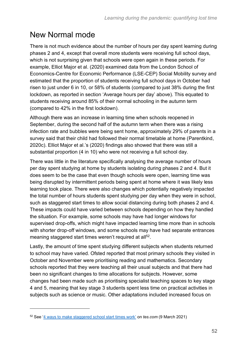### New Normal mode

There is not much evidence about the number of hours per day spent learning during phases 2 and 4, except that overall more students were receiving full school days, which is not surprising given that schools were open again in these periods. For example, Elliot Major et al. (2020) examined data from the London School of Economics-Centre for Economic Performance (LSE-CEP) Social Mobility survey and estimated that the proportion of students receiving full school days in October had risen to just under 6 in 10, or 58% of students (compared to just 38% during the first lockdown, as reported in section 'Average hours per day' above). This equated to students receiving around 85% of their normal schooling in the autumn term (compared to 42% in the first lockdown).

Although there was an increase in learning time when schools reopened in September, during the second half of the autumn term when there was a rising infection rate and bubbles were being sent home, approximately 29% of parents in a survey said that their child had followed their normal timetable at home (Parentkind, 2020c). Elliot Major et al.'s (2020) findings also showed that there was still a substantial proportion (4 in 10) who were not receiving a full school day.

There was little in the literature specifically analysing the average number of hours per day spent studying at home by students isolating during phases 2 and 4. But it does seem to be the case that even though schools were open, learning time was being disrupted by intermittent periods being spent at home where it was likely less learning took place. There were also changes which potentially negatively impacted the total number of hours students spent studying per day when they were in school, such as staggered start times to allow social distancing during both phases 2 and 4. These impacts could have varied between schools depending on how they handled the situation. For example, some schools may have had longer windows for supervised drop-offs, which might have impacted learning time more than in schools with shorter drop-off windows, and some schools may have had separate entrances meaning staggered start times weren't required at all<sup>52</sup>.

Lastly, the amount of time spent studying different subjects when students returned to school may have varied. Ofsted reported that most primary schools they visited in October and November were prioritising reading and mathematics. Secondary schools reported that they were teaching all their usual subjects and that there had been no significant changes to time allocations for subjects. However, some changes had been made such as prioritising specialist teaching spaces to key stage 4 and 5, meaning that key stage 3 students spent less time on practical activities in subjects such as science or music. Other adaptations included increased focus on

<sup>52</sup> See ['4 ways to make staggered school start times work'](https://www.tes.com/news/coronavirus-reopening-schools-4-ways-make-staggered-starts-work) on *tes.com* (9 March 2021)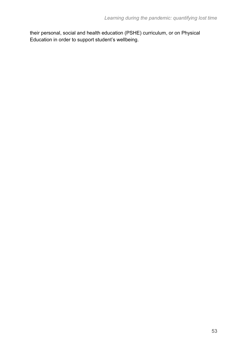their personal, social and health education (PSHE) curriculum, or on Physical Education in order to support student's wellbeing.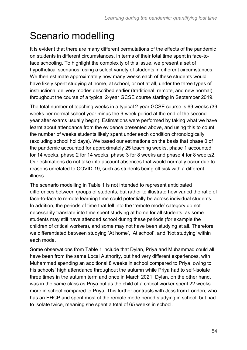# Scenario modelling

It is evident that there are many different permutations of the effects of the pandemic on students in different circumstances, in terms of their total time spent in face-toface schooling. To highlight the complexity of this issue, we present a set of hypothetical scenarios, using a select variety of students in different circumstances. We then estimate approximately how many weeks each of these students would have likely spent studying at home, at school, or not at all, under the three types of instructional delivery modes described earlier (traditional, remote, and new normal), throughout the course of a typical 2-year GCSE course starting in September 2019.

The total number of teaching weeks in a typical 2-year GCSE course is 69 weeks (39 weeks per normal school year minus the 9-week period at the end of the second year after exams usually begin). Estimations were performed by taking what we have learnt about attendance from the evidence presented above, and using this to count the number of weeks students likely spent under each condition chronologically (excluding school holidays). We based our estimations on the basis that phase 0 of the pandemic accounted for approximately 25 teaching weeks, phase 1 accounted for 14 weeks, phase 2 for 14 weeks, phase 3 for 8 weeks and phase 4 for 8 week[s2.](#page-10-0) Our estimations do not take into account absences that would normally occur due to reasons unrelated to COVID-19, such as students being off sick with a different illness.

The scenario modelling in Table 1 is not intended to represent anticipated differences between groups of students, but rather to illustrate how varied the ratio of face-to-face to remote learning time could potentially be across individual students. In addition, the periods of time that fell into the 'remote mode' category do not necessarily translate into time spent studying at home for all students, as some students may still have attended school during these periods (for example the children of critical workers), and some may not have been studying at all. Therefore we differentiated between studying 'At home', 'At school', and 'Not studying' within each mode.

Some observations from Table 1 include that Dylan, Priya and Muhammad could all have been from the same Local Authority, but had very different experiences, with Muhammad spending an additional 8 weeks in school compared to Priya, owing to his schools' high attendance throughout the autumn while Priya had to self-isolate three times in the autumn term and once in March 2021. Dylan, on the other hand, was in the same class as Priya but as the child of a critical worker spent 22 weeks more in school compared to Priya. This further contrasts with Jess from London, who has an EHCP and spent most of the remote mode period studying in school, but had to isolate twice, meaning she spent a total of 65 weeks in school.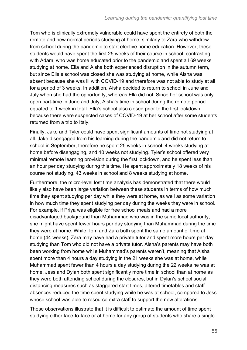Tom who is clinically extremely vulnerable could have spent the entirety of both the remote and new normal periods studying at home, similarly to Zara who withdrew from school during the pandemic to start elective home education. However, these students would have spent the first 25 weeks of their course in school, contrasting with Adam, who was home educated prior to the pandemic and spent all 69 weeks studying at home. Ella and Aisha both experienced disruption in the autumn term, but since Ella's school was closed she was studying at home, while Aisha was absent because she was ill with COVID-19 and therefore was not able to study at all for a period of 3 weeks. In addition, Aisha decided to return to school in June and July when she had the opportunity, whereas Ella did not. Since her school was only open part-time in June and July, Aisha's time in school during the remote period equated to 1 week in total. Ella's school also closed prior to the first lockdown because there were suspected cases of COVID-19 at her school after some students returned from a trip to Italy.

Finally, Jake and Tyler could have spent significant amounts of time not studying at all. Jake disengaged from his learning during the pandemic and did not return to school in September, therefore he spent 25 weeks in school, 4 weeks studying at home before disengaging, and 40 weeks not studying. Tyler's school offered very minimal remote learning provision during the first lockdown, and he spent less than an hour per day studying during this time. He spent approximately 18 weeks of his course not studying, 43 weeks in school and 8 weeks studying at home.

Furthermore, the micro-level lost time analysis has demonstrated that there would likely also have been large variation between these students in terms of how much time they spent studying per day while they were at home, as well as some variation in how much time they spent studying per day during the weeks they were in school. For example, if Priya was eligible for free school meals and had a more disadvantaged background than Muhammad who was in the same local authority, she might have spent fewer hours per day studying than Muhammad during the time they were at home. While Tom and Zara both spent the same amount of time at home (44 weeks), Zara may have had a private tutor and spent more hours per day studying than Tom who did not have a private tutor. Aisha's parents may have both been working from home while Muhammad's parents weren't, meaning that Aisha spent more than 4 hours a day studying in the 21 weeks she was at home, while Muhammad spent fewer than 4 hours a day studying during the 22 weeks he was at home. Jess and Dylan both spent significantly more time in school than at home as they were both attending school during the closures, but in Dylan's school social distancing measures such as staggered start times, altered timetables and staff absences reduced the time spent studying while he was at school, compared to Jess whose school was able to resource extra staff to support the new alterations.

These observations illustrate that it is difficult to estimate the amount of time spent studying either face-to-face or at home for any group of students who share a single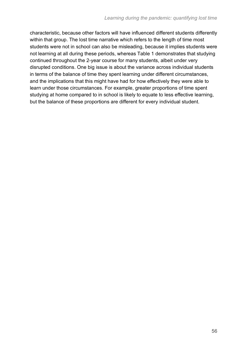characteristic, because other factors will have influenced different students differently within that group. The lost time narrative which refers to the length of time most students were not in school can also be misleading, because it implies students were not learning at all during these periods, whereas Table 1 demonstrates that studying continued throughout the 2-year course for many students, albeit under very disrupted conditions. One big issue is about the variance across individual students in terms of the balance of time they spent learning under different circumstances, and the implications that this might have had for how effectively they were able to learn under those circumstances. For example, greater proportions of time spent studying at home compared to in school is likely to equate to less effective learning, but the balance of these proportions are different for every individual student.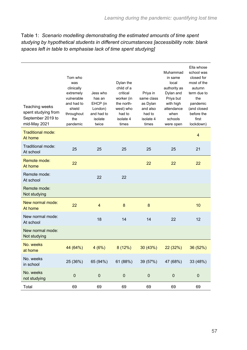| Table 1: Scenario modelling demonstrating the estimated amounts of time spent           |
|-----------------------------------------------------------------------------------------|
| studying by hypothetical students in different circumstances [accessibility note: blank |
| spaces left in table to emphasise lack of time spent studying]                          |

| Teaching weeks<br>spent studying from<br>September 2019 to<br>mid-May 2021 | Tom who<br>was<br>clinically<br>extremely<br>vulnerable<br>and had to<br>shield<br>throughout<br>the<br>pandemic | Jess who<br>has an<br>EHCP (in<br>London)<br>and had to<br>isolate<br>twice | Dylan the<br>child of a<br>critical<br>worker (in<br>the north-<br>west) who<br>had to<br>isolate 4<br>times | Priya in<br>same class<br>as Dylan<br>and also<br>had to<br>isolate 4<br>times | Muhammad<br>in same<br>local<br>authority as<br>Dylan and<br>Priya but<br>with high<br>attendance<br>when<br>schools<br>were open | Ella whose<br>school was<br>closed for<br>most of the<br>autumn<br>term due to<br>the<br>pandemic<br>(and closed<br>before the<br>first<br>lockdown) |
|----------------------------------------------------------------------------|------------------------------------------------------------------------------------------------------------------|-----------------------------------------------------------------------------|--------------------------------------------------------------------------------------------------------------|--------------------------------------------------------------------------------|-----------------------------------------------------------------------------------------------------------------------------------|------------------------------------------------------------------------------------------------------------------------------------------------------|
| <b>Traditional mode:</b><br>At home                                        |                                                                                                                  |                                                                             |                                                                                                              |                                                                                |                                                                                                                                   | $\overline{\mathbf{4}}$                                                                                                                              |
| Traditional mode:<br>At school                                             | 25                                                                                                               | 25                                                                          | 25                                                                                                           | 25                                                                             | 25                                                                                                                                | 21                                                                                                                                                   |
| Remote mode:<br>At home                                                    | 22                                                                                                               |                                                                             |                                                                                                              | 22                                                                             | 22                                                                                                                                | 22                                                                                                                                                   |
| Remote mode:<br>At school                                                  |                                                                                                                  | 22                                                                          | 22                                                                                                           |                                                                                |                                                                                                                                   |                                                                                                                                                      |
| Remote mode:<br>Not studying                                               |                                                                                                                  |                                                                             |                                                                                                              |                                                                                |                                                                                                                                   |                                                                                                                                                      |
| New normal mode:<br>At home                                                | 22                                                                                                               | $\overline{4}$                                                              | 8                                                                                                            | 8                                                                              |                                                                                                                                   | 10                                                                                                                                                   |
| New normal mode:<br>At school                                              |                                                                                                                  | 18                                                                          | 14                                                                                                           | 14                                                                             | 22                                                                                                                                | 12                                                                                                                                                   |
| New normal mode:<br>Not studying                                           |                                                                                                                  |                                                                             |                                                                                                              |                                                                                |                                                                                                                                   |                                                                                                                                                      |
| No. weeks<br>at home                                                       | 44 (64%)                                                                                                         | 4(6%)                                                                       | 8(12%)                                                                                                       | 30 (43%)                                                                       | 22 (32%)                                                                                                                          | 36 (52%)                                                                                                                                             |
| No. weeks<br>in school                                                     | 25 (36%)                                                                                                         | 65 (94%)                                                                    | 61 (88%)                                                                                                     | 39 (57%)                                                                       | 47 (68%)                                                                                                                          | 33 (48%)                                                                                                                                             |
| No. weeks<br>not studying                                                  | $\pmb{0}$                                                                                                        | $\pmb{0}$                                                                   | $\pmb{0}$                                                                                                    | $\pmb{0}$                                                                      | $\pmb{0}$                                                                                                                         | $\pmb{0}$                                                                                                                                            |
| Total                                                                      | 69                                                                                                               | 69                                                                          | 69                                                                                                           | 69                                                                             | 69                                                                                                                                | 69                                                                                                                                                   |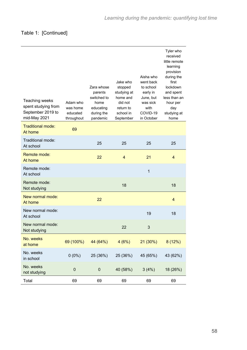| Teaching weeks<br>spent studying from<br>September 2019 to<br>mid-May 2021 | Adam who<br>was home<br>educated<br>throughout | Zara whose<br>parents<br>switched to<br>home<br>educating<br>during the<br>pandemic | Jake who<br>stopped<br>studying at<br>home and<br>did not<br>return to<br>school in<br>September | Aisha who<br>went back<br>to school<br>early in<br>June, but<br>was sick<br>with<br>COVID-19<br>in October | Tyler who<br>received<br>little remote<br>learning<br>provision<br>during the<br>first<br>lockdown<br>and spent<br>less than an<br>hour per<br>day<br>studying at<br>home |
|----------------------------------------------------------------------------|------------------------------------------------|-------------------------------------------------------------------------------------|--------------------------------------------------------------------------------------------------|------------------------------------------------------------------------------------------------------------|---------------------------------------------------------------------------------------------------------------------------------------------------------------------------|
| <b>Traditional mode:</b><br>At home                                        | 69                                             |                                                                                     |                                                                                                  |                                                                                                            |                                                                                                                                                                           |
| Traditional mode:<br>At school                                             |                                                | 25                                                                                  | 25                                                                                               | 25                                                                                                         | 25                                                                                                                                                                        |
| Remote mode:<br>At home                                                    |                                                | 22                                                                                  | $\overline{4}$                                                                                   | 21                                                                                                         | $\overline{4}$                                                                                                                                                            |
| Remote mode:<br>At school                                                  |                                                |                                                                                     |                                                                                                  | $\overline{1}$                                                                                             |                                                                                                                                                                           |
| Remote mode:<br>Not studying                                               |                                                |                                                                                     | 18                                                                                               |                                                                                                            | 18                                                                                                                                                                        |
| New normal mode:<br>At home                                                |                                                | 22                                                                                  |                                                                                                  |                                                                                                            | 4                                                                                                                                                                         |
| New normal mode:<br>At school                                              |                                                |                                                                                     |                                                                                                  | 19                                                                                                         | 18                                                                                                                                                                        |
| New normal mode:<br>Not studying                                           |                                                |                                                                                     | 22                                                                                               | 3                                                                                                          |                                                                                                                                                                           |
| No. weeks<br>at home                                                       | 69 (100%)                                      | 44 (64%)                                                                            | 4(6%)                                                                                            | 21(30%)                                                                                                    | 8(12%)                                                                                                                                                                    |
| No. weeks<br>in school                                                     | $0(0\%)$                                       | 25 (36%)                                                                            | 25 (36%)                                                                                         | 45 (65%)                                                                                                   | 43 (62%)                                                                                                                                                                  |
| No. weeks<br>not studying                                                  | $\pmb{0}$                                      | $\pmb{0}$                                                                           | 40 (58%)                                                                                         | 3(4%)                                                                                                      | 18 (26%)                                                                                                                                                                  |
| Total                                                                      | 69                                             | 69                                                                                  | 69                                                                                               | 69                                                                                                         | 69                                                                                                                                                                        |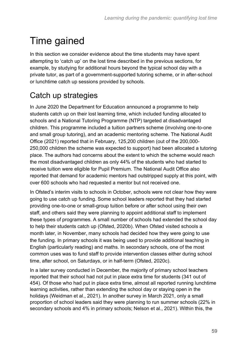# Time gained

In this section we consider evidence about the time students may have spent attempting to 'catch up' on the lost time described in the previous sections, for example, by studying for additional hours beyond the typical school day with a private tutor, as part of a government-supported tutoring scheme, or in after-school or lunchtime catch up sessions provided by schools.

## Catch up strategies

In June 2020 the Department for Education announced a programme to help students catch up on their lost learning time, which included funding allocated to schools and a National Tutoring Programme (NTP) targeted at disadvantaged children. This programme included a tuition partners scheme (involving one-to-one and small group tutoring), and an academic mentoring scheme. The National Audit Office (2021) reported that in February, 125,200 children (out of the 200,000- 250,000 children the scheme was expected to support) had been allocated a tutoring place. The authors had concerns about the extent to which the scheme would reach the most disadvantaged children as only 44% of the students who had started to receive tuition were eligible for Pupil Premium. The National Audit Office also reported that demand for academic mentors had outstripped supply at this point, with over 600 schools who had requested a mentor but not received one.

In Ofsted's interim visits to schools in October, schools were not clear how they were going to use catch up funding. Some school leaders reported that they had started providing one-to-one or small-group tuition before or after school using their own staff, and others said they were planning to appoint additional staff to implement these types of programmes. A small number of schools had extended the school day to help their students catch up (Ofsted, 2020b). When Ofsted visited schools a month later, in November, many schools had decided how they were going to use the funding. In primary schools it was being used to provide additional teaching in English (particularly reading) and maths. In secondary schools, one of the most common uses was to fund staff to provide intervention classes either during school time, after school, on Saturdays, or in half-term (Ofsted, 2020c).

In a later survey conducted in December, the majority of primary school teachers reported that their school had not put in place extra time for students (341 out of 454). Of those who had put in place extra time, almost all reported running lunchtime learning activities, rather than extending the school day or staying open in the holidays (Weidman et al., 2021). In another survey in March 2021, only a small proportion of school leaders said they were planning to run summer schools (22% in secondary schools and 4% in primary schools; Nelson et al., 2021). Within this, the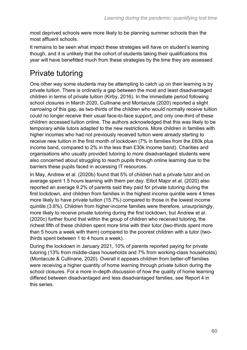most deprived schools were more likely to be planning summer schools than the most affluent schools.

It remains to be seen what impact these strategies will have on student's learning though, and it is unlikely that the cohort of students taking their qualifications this year will have benefitted much from these strategies by the time they are assessed.

## Private tutoring

One other way some students may be attempting to catch up on their learning is by private tuition. There is ordinarily a gap between the most and least disadvantaged children in terms of private tuition (Kirby, 2016). In the immediate period following school closures in March 2020, Cullinane and Montacute (2020) reported a slight narrowing of this gap, as two-thirds of the children who would normally receive tuition could no longer receive their usual face-to-face support, and only one-third of these children accessed tuition online. The authors acknowledged that this was likely to be temporary while tutors adapted to the new restrictions. More children in families with higher incomes who had not previously received tuition were already starting to receive new tuition in the first month of lockdown (7% in families from the £60k plus income band, compared to 2% in the less than £30k income band). Charities and organisations who usually provided tutoring to more disadvantaged students were also concerned about struggling to reach pupils through online learning due to the barriers these pupils faced in accessing IT resources.

In May, Andrew et al. (2020b) found that 5% of children had a private tutor and on average spent 1.5 hours learning with them per day. Elliot Major et al. (2020) also reported an average 9.2% of parents said they paid for private tutoring during the first lockdown, and children from families in the highest income quintile were 4 times more likely to have private tuition (15.7%) compared to those in the lowest income quintile (3.8%). Children from higher-income families were therefore, unsurprisingly, more likely to receive private tutoring during the first lockdown, but Andrew et al. (2020c) further found that within the group of children who received tutoring, the richest fifth of these children spent more time with their tutor (two-thirds spent more than 5 hours a week with them) compared to the poorest children with a tutor (twothirds spent between 1 to 4 hours a week).

During the lockdown in January 2021, 10% of parents reported paying for private tutoring (13% from middle-class households and 7% from working-class households) (Montacute & Cullinane, 2020). Overall it appears children from better-off families were receiving a higher quantity of home learning through private tuition during the school closures. For a more in-depth discussion of how the quality of home learning differed between disadvantaged and less disadvantaged families, see Report 4 in this series.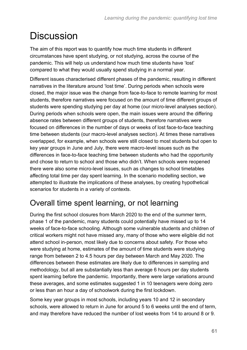# **Discussion**

The aim of this report was to quantify how much time students in different circumstances have spent studying, or not studying, across the course of the pandemic. This will help us understand how much time students have 'lost' compared to what they would usually spend studying in a normal year.

Different issues characterised different phases of the pandemic, resulting in different narratives in the literature around 'lost time'. During periods when schools were closed, the major issue was the change from face-to-face to remote learning for most students, therefore narratives were focused on the amount of time different groups of students were spending studying per day at home (our micro-level analyses section). During periods when schools were open, the main issues were around the differing absence rates between different groups of students, therefore narratives were focused on differences in the number of days or weeks of lost face-to-face teaching time between students (our macro-level analyses section). At times these narratives overlapped, for example, when schools were still closed to most students but open to key year groups in June and July, there were macro-level issues such as the differences in face-to-face teaching time between students who had the opportunity and chose to return to school and those who didn't. When schools were reopened there were also some micro-level issues, such as changes to school timetables affecting total time per day spent learning. In the scenario modelling section, we attempted to illustrate the implications of these analyses, by creating hypothetical scenarios for students in a variety of contexts.

### Overall time spent learning, or not learning

During the first school closures from March 2020 to the end of the summer term, phase 1 of the pandemic, many students could potentially have missed up to 14 weeks of face-to-face schooling. Although some vulnerable students and children of critical workers might not have missed any, many of those who were eligible did not attend school in-person, most likely due to concerns about safety. For those who were studying at home, estimates of the amount of time students were studying range from between 2 to 4.5 hours per day between March and May 2020. The differences between these estimates are likely due to differences in sampling and methodology, but all are substantially less than average 6 hours per day students spent learning before the pandemic. Importantly, there were large variations around these averages, and some estimates suggested 1 in 10 teenagers were doing zero or less than an hour a day of schoolwork during the first lockdown.

Some key year groups in most schools, including years 10 and 12 in secondary schools, were allowed to return in June for around 5 to 6 weeks until the end of term, and may therefore have reduced the number of lost weeks from 14 to around 8 or 9.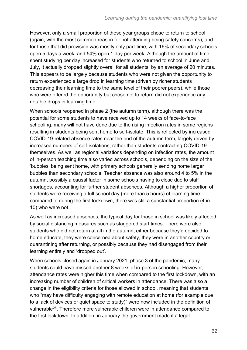However, only a small proportion of these year groups chose to return to school (again, with the most common reason for not attending being safety concerns), and for those that did provision was mostly only part-time, with 16% of secondary schools open 5 days a week, and 54% open 1 day per week. Although the amount of time spent studying per day increased for students who returned to school in June and July, it actually dropped slightly overall for all students, by an average of 20 minutes. This appears to be largely because students who were not given the opportunity to return experienced a large drop in learning time (driven by richer students decreasing their learning time to the same level of their poorer peers), while those who were offered the opportunity but chose not to return did not experience any notable drops in learning time.

When schools reopened in phase 2 (the autumn term), although there was the potential for some students to have received up to 14 weeks of face-to-face schooling, many will not have done due to the rising infection rates in some regions resulting in students being sent home to self-isolate. This is reflected by increased COVID-19-related absence rates near the end of the autumn term, largely driven by increased numbers of self-isolations, rather than students contracting COVID-19 themselves. As well as regional variations depending on infection rates, the amount of in-person teaching time also varied across schools, depending on the size of the 'bubbles' being sent home, with primary schools generally sending home larger bubbles than secondary schools. Teacher absence was also around 4 to 5% in the autumn, possibly a causal factor in some schools having to close due to staff shortages, accounting for further student absences. Although a higher proportion of students were receiving a full school day (more than 5 hours) of learning time compared to during the first lockdown, there was still a substantial proportion (4 in 10) who were not.

As well as increased absences, the typical day for those in school was likely affected by social distancing measures such as staggered start times. There were also students who did not return at all in the autumn, either because they'd decided to home educate, they were concerned about safety, they were in another country or quarantining after returning, or possibly because they had disengaged from their learning entirely and 'dropped out'.

When schools closed again in January 2021, phase 3 of the pandemic, many students could have missed another 8 weeks of in-person schooling. However, attendance rates were higher this time when compared to the first lockdown, with an increasing number of children of critical workers in attendance. There was also a change in the eligibility criteria for those allowed in school, meaning that students who "may have difficulty engaging with remote education at home (for example due to a lack of devices or quiet space to study)" were now included in the definition of vulnerable[26](#page-17-0). Therefore more vulnerable children were in attendance compared to the first lockdown. In addition, in January the government made it a legal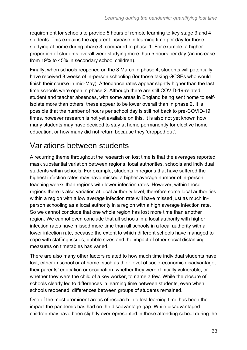requirement for schools to provide 5 hours of remote learning to key stage 3 and 4 students. This explains the apparent increase in learning time per day for those studying at home during phase 3, compared to phase 1. For example, a higher proportion of students overall were studying more than 5 hours per day (an increase from 19% to 45% in secondary school children).

Finally, when schools reopened on the 8 March in phase 4, students will potentially have received 8 weeks of in-person schooling (for those taking GCSEs who would finish their course in mid-May). Attendance rates appear slightly higher than the last time schools were open in phase 2. Although there are still COVID-19-related student and teacher absences, with some areas in England being sent home to selfisolate more than others, these appear to be lower overall than in phase 2. It is possible that the number of hours per school day is still not back to pre-COVID-19 times, however research is not yet available on this. It is also not yet known how many students may have decided to stay at home permanently for elective home education, or how many did not return because they 'dropped out'.

### Variations between students

A recurring theme throughout the research on lost time is that the averages reported mask substantial variation between regions, local authorities, schools and individual students within schools. For example, students in regions that have suffered the highest infection rates may have missed a higher average number of in-person teaching weeks than regions with lower infection rates. However, within those regions there is also variation at local authority level, therefore some local authorities within a region with a low average infection rate will have missed just as much inperson schooling as a local authority in a region with a high average infection rate. So we cannot conclude that one whole region has lost more time than another region. We cannot even conclude that all schools in a local authority with higher infection rates have missed more time than all schools in a local authority with a lower infection rate, because the extent to which different schools have managed to cope with staffing issues, bubble sizes and the impact of other social distancing measures on timetables has varied.

There are also many other factors related to how much time individual students have lost, either in school or at home, such as their level of socio-economic disadvantage, their parents' education or occupation, whether they were clinically vulnerable, or whether they were the child of a key worker, to name a few. While the closure of schools clearly led to differences in learning time between students, even when schools reopened, differences between groups of students remained.

One of the most prominent areas of research into lost learning time has been the impact the pandemic has had on the disadvantage gap. While disadvantaged children may have been slightly overrepresented in those attending school during the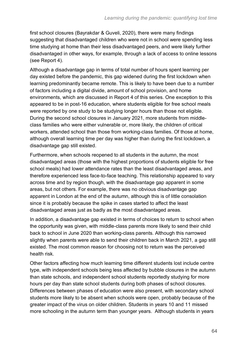first school closures (Bayrakdar & Guveli, 2020), there were many findings suggesting that disadvantaged children who were not in school were spending less time studying at home than their less disadvantaged peers, and were likely further disadvantaged in other ways, for example, through a lack of access to online lessons (see Report 4).

Although a disadvantage gap in terms of total number of hours spent learning per day existed before the pandemic, this gap widened during the first lockdown when learning predominantly became remote. This is likely to have been due to a number of factors including a digital divide, amount of school provision, and home environments, which are discussed in Report 4 of this series. One exception to this appeared to be in post-16 education, where students eligible for free school meals were reported by one study to be studying longer hours than those not eligible. During the second school closures in January 2021, more students from middleclass families who were either vulnerable or, more likely, the children of critical workers, attended school than those from working-class families. Of those at home, although overall learning time per day was higher than during the first lockdown, a disadvantage gap still existed.

Furthermore, when schools reopened to all students in the autumn, the most disadvantaged areas (those with the highest proportions of students eligible for free school meals) had lower attendance rates than the least disadvantaged areas, and therefore experienced less face-to-face teaching. This relationship appeared to vary across time and by region though, with the disadvantage gap apparent in some areas, but not others. For example, there was no obvious disadvantage gap apparent in London at the end of the autumn, although this is of little consolation since it is probably because the spike in cases started to affect the least disadvantaged areas just as badly as the most disadvantaged areas.

In addition, a disadvantage gap existed in terms of choices to return to school when the opportunity was given, with middle-class parents more likely to send their child back to school in June 2020 than working-class parents. Although this narrowed slightly when parents were able to send their children back in March 2021, a gap still existed. The most common reason for choosing not to return was the perceived health risk.

Other factors affecting how much learning time different students lost include centre type, with independent schools being less affected by bubble closures in the autumn than state schools, and independent school students reportedly studying for more hours per day than state school students during both phases of school closures. Differences between phases of education were also present, with secondary school students more likely to be absent when schools were open, probably because of the greater impact of the virus on older children. Students in years 10 and 11 missed more schooling in the autumn term than younger years. Although students in years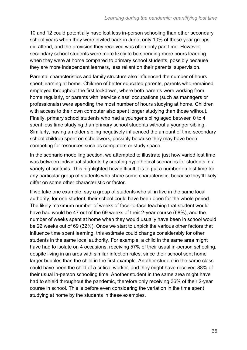10 and 12 could potentially have lost less in-person schooling than other secondary school years when they were invited back in June, only 10% of these year groups did attend, and the provision they received was often only part time. However, secondary school students were more likely to be spending more hours learning when they were at home compared to primary school students, possibly because they are more independent learners, less reliant on their parents' supervision.

Parental characteristics and family structure also influenced the number of hours spent learning at home. Children of better educated parents, parents who remained employed throughout the first lockdown, where both parents were working from home regularly, or parents with 'service class' occupations (such as managers or professionals) were spending the most number of hours studying at home. Children with access to their own computer also spent longer studying than those without. Finally, primary school students who had a younger sibling aged between 0 to 4 spent less time studying than primary school students without a younger sibling. Similarly, having an older sibling negatively influenced the amount of time secondary school children spent on schoolwork, possibly because they may have been competing for resources such as computers or study space.

In the scenario modelling section, we attempted to illustrate just how varied lost time was between individual students by creating hypothetical scenarios for students in a variety of contexts. This highlighted how difficult it is to put a number on lost time for any particular group of students who share some characteristic, because they'll likely differ on some other characteristic or factor.

If we take one example, say a group of students who all in live in the same local authority, for one student, their school could have been open for the whole period. The likely maximum number of weeks of face-to-face teaching that student would have had would be 47 out of the 69 weeks of their 2-year course (68%), and the number of weeks spent at home when they would usually have been in school would be 22 weeks out of 69 (32%). Once we start to unpick the various other factors that influence time spent learning, this estimate could change considerably for other students in the same local authority. For example, a child in the same area might have had to isolate on 4 occasions, receiving 57% of their usual in-person schooling, despite living in an area with similar infection rates, since their school sent home larger bubbles than the child in the first example. Another student in the same class could have been the child of a critical worker, and they might have received 88% of their usual in-person schooling time. Another student in the same area might have had to shield throughout the pandemic, therefore only receiving 36% of their 2-year course in school. This is before even considering the variation in the time spent studying at home by the students in these examples.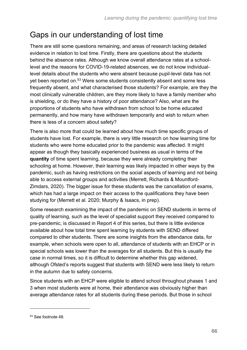## Gaps in our understanding of lost time

There are still some questions remaining, and areas of research lacking detailed evidence in relation to lost time. Firstly, there are questions about the students behind the absence rates. Although we know overall attendance rates at a schoollevel and the reasons for COVID-19-related absences, we do not know individuallevel details about the students who were absent because pupil-level data has not yet been reported on.<sup>53</sup> Were some students consistently absent and some less frequently absent, and what characterised those students? For example, are they the most clinically vulnerable children, are they more likely to have a family member who is shielding, or do they have a history of poor attendance? Also, what are the proportions of students who have withdrawn from school to be home educated permanently, and how many have withdrawn temporarily and wish to return when there is less of a concern about safety?

There is also more that could be learned about how much time specific groups of students have lost. For example, there is very little research on how learning time for students who were home educated prior to the pandemic was affected. It might appear as though they basically experienced business as usual in terms of the **quantity** of time spent learning, because they were already completing their schooling at home. However, their learning was likely impacted in other ways by the pandemic, such as having restrictions on the social aspects of learning and not being able to access external groups and activities (Merrett, Richards & Mountford-Zimdars, 2020). The bigger issue for these students was the cancellation of exams, which has had a large impact on their access to the qualifications they have been studying for (Merrett et al. 2020; Murphy & Isaacs, in prep).

Some research examining the impact of the pandemic on SEND students in terms of quality of learning, such as the level of specialist support they received compared to pre-pandemic, is discussed in Report 4 of this series, but there is little evidence available about how total time spent learning by students with SEND differed compared to other students. There are some insights from the attendance data, for example, when schools were open to all, attendance of students with an EHCP or in special schools was lower than the averages for all students. But this is usually the case in normal times, so it is difficult to determine whether this gap widened, although Ofsted's reports suggest that students with SEND were less likely to return in the autumn due to safety concerns.

Since students with an EHCP were eligible to attend school throughout phases 1 and 3 when most students were at home, their attendance was obviously higher than average attendance rates for all students during these periods. But those in school

<sup>53</sup> See footnote 48.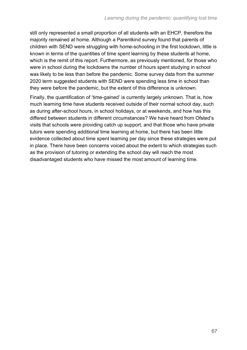still only represented a small proportion of all students with an EHCP, therefore the majority remained at home. Although a Parentkind survey found that parents of children with SEND were struggling with home-schooling in the first lockdown, little is known in terms of the quantities of time spent learning by these students at home, which is the remit of this report. Furthermore, as previously mentioned, for those who were in school during the lockdowns the number of hours spent studying in school was likely to be less than before the pandemic. Some survey data from the summer 2020 term suggested students with SEND were spending less time in school than they were before the pandemic, but the extent of this difference is unknown.

Finally, the quantification of 'time-gained' is currently largely unknown. That is, how much learning time have students received outside of their normal school day, such as during after-school hours, in school holidays, or at weekends, and how has this differed between students in different circumstances? We have heard from Ofsted's visits that schools were providing catch up support, and that those who have private tutors were spending additional time learning at home, but there has been little evidence collected about time spent learning per day since these strategies were put in place. There have been concerns voiced about the extent to which strategies such as the provision of tutoring or extending the school day will reach the most disadvantaged students who have missed the most amount of learning time.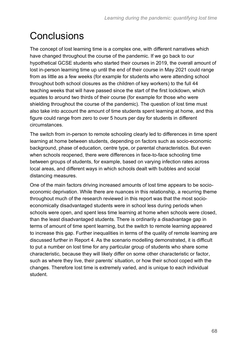# **Conclusions**

The concept of lost learning time is a complex one, with different narratives which have changed throughout the course of the pandemic. If we go back to our hypothetical GCSE students who started their courses in 2019, the overall amount of lost in-person learning time up until the end of their course in May 2021 could range from as little as a few weeks (for example for students who were attending school throughout both school closures as the children of key workers) to the full 44 teaching weeks that will have passed since the start of the first lockdown, which equates to around two thirds of their course (for example for those who were shielding throughout the course of the pandemic). The question of lost time must also take into account the amount of time students spent learning at home, and this figure could range from zero to over 5 hours per day for students in different circumstances.

The switch from in-person to remote schooling clearly led to differences in time spent learning at home between students, depending on factors such as socio-economic background, phase of education, centre type, or parental characteristics. But even when schools reopened, there were differences in face-to-face schooling time between groups of students, for example, based on varying infection rates across local areas, and different ways in which schools dealt with bubbles and social distancing measures.

One of the main factors driving increased amounts of lost time appears to be socioeconomic deprivation. While there are nuances in this relationship, a recurring theme throughout much of the research reviewed in this report was that the most socioeconomically disadvantaged students were in school less during periods when schools were open, and spent less time learning at home when schools were closed, than the least disadvantaged students. There is ordinarily a disadvantage gap in terms of amount of time spent learning, but the switch to remote learning appeared to increase this gap. Further inequalities in terms of the quality of remote learning are discussed further in Report 4. As the scenario modelling demonstrated, it is difficult to put a number on lost time for any particular group of students who share some characteristic, because they will likely differ on some other characteristic or factor, such as where they live, their parents' situation, or how their school coped with the changes. Therefore lost time is extremely varied, and is unique to each individual student.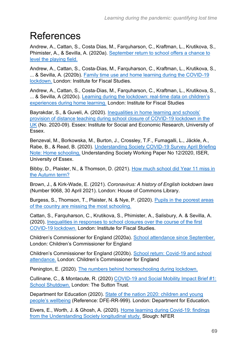# References

Andrew, A., Cattan, S., Costa Dias, M., Farquharson, C., Kraftman, L., Krutikova, S., Phimister, A., & Sevilla, A. (2020a). [September return to school offers a chance to](https://www.ifs.org.uk/publications/14980)  [level the playing field.](https://www.ifs.org.uk/publications/14980)

Andrew, A., Cattan, S., Costa-Dias, M., Farquharson, C., Kraftman, L., Krutikova, S., ... & Sevilla, A. (2020b). [Family time use and home learning during the COVID-19](https://www.ifs.org.uk/publications/15038)  [lockdown.](https://www.ifs.org.uk/publications/15038) London: Institute for Fiscal Studies.

Andrew, A., Cattan, S., Costa-Dias, M., Farquharson, C., Kraftman, L., Krutikova, S., ... & Sevilla, A (2020c). [Learning during the lockdown: real-time data on children's](https://dera.ioe.ac.uk/35632/1/BN288-Learning-during-the-lockdown-1.pdf)  [experiences during home learning.](https://dera.ioe.ac.uk/35632/1/BN288-Learning-during-the-lockdown-1.pdf) London: Institute for Fiscal Studies

Bayrakdar, S., & Guveli, A. (2020). [Inequalities in home learning and schools'](https://www.iser.essex.ac.uk/research/publications/working-papers/iser/2020-09)  [provision of distance teaching during school closure of COVID-19 lockdown in the](https://www.iser.essex.ac.uk/research/publications/working-papers/iser/2020-09)  [UK](https://www.iser.essex.ac.uk/research/publications/working-papers/iser/2020-09) (No. 2020-09). Essex: Institute for Social and Economic Research, University of Essex.

Benzeval, M., Borkowska, M., Burton, J., Crossley, T.F., Fumagalli, L., Jäckle, A., Rabe, B., & Read, B. (2020). [Understanding Society COVID-19 Survey April Briefing](https://www.understandingsociety.ac.uk/research/publications/526136)  [Note: Home schooling,](https://www.understandingsociety.ac.uk/research/publications/526136) Understanding Society Working Paper No 12/2020, ISER, University of Essex.

Bibby, D., Plaister, N., & Thomson, D. (2021). How much school did Year 11 miss in [the Autumn term?](https://ffteducationdatalab.org.uk/2021/03/how-much-school-did-year-11-miss-in-the-autumn-term/#:~:text=There%20were%20almost%2040%20schools,%25%2C%20double%20the%20average%20rate)

Brown, J., & Kirk-Wade, E. (2021). *Coronavirus: A history of English lockdown laws* (Number 9068, 30 April 2021). London: House of Commons Library.

Burgess, S., Thomson, T., Plaister, N. & Nye, P. (2020). [Pupils in the poorest areas](https://ffteducationdatalab.org.uk/2020/10/pupils-in-the-poorest-areas-of-the-country-are-missing-the-most-schooling/)  [of the country are missing the most schooling.](https://ffteducationdatalab.org.uk/2020/10/pupils-in-the-poorest-areas-of-the-country-are-missing-the-most-schooling/)

Cattan, S., Farquharson, C., Krutikova, S., Phimister, A., Salisbury, A. & Sevilla, A. (2020). [Inequalities in responses to school closures over the course of the first](https://www.ifs.org.uk/publications/15302)  [COVID-19 lockdown.](https://www.ifs.org.uk/publications/15302) London: Institute for Fiscal Studies.

Children's Commissioner for England (2020a). [School attendance since September.](https://www.childrenscommissioner.gov.uk/report/school-attendance-since-september/) London: Children's Commissioner for England

Children's Commissioner for England (2020b). [School return: Covid-19 and school](https://childrenscommissioner.gov.uk/report/school-return-covid-19-and-school-attendance/)  [attendance.](https://childrenscommissioner.gov.uk/report/school-return-covid-19-and-school-attendance/) London: Children's Commissioner for England

Penington, E. (2020). [The numbers behind homeschooling during lockdown.](https://childrenscommissioner.gov.uk/2020/06/11/the-numbers-behind-homeschooling-during-lockdown/)

Cullinane, C., & Montacute, R. (2020) [COVID-19 and Social Mobility Impact Brief #1:](https://www.suttontrust.com/our-research/covid-19-and-social-mobility-impact-brief/)  [School Shutdown.](https://www.suttontrust.com/our-research/covid-19-and-social-mobility-impact-brief/) London: The Sutton Trust.

Department for Education (2020). [State of the nation 2020: children and young](https://www.gov.uk/government/publications/state-of-the-nation-2020-children-and-young-peoples-wellbeing)  [people's wellbeing](https://www.gov.uk/government/publications/state-of-the-nation-2020-children-and-young-peoples-wellbeing) (Reference: DFE-RR-999). London: Department for Education.

Eivers, E., Worth, J. & Ghosh, A. (2020). [Home learning during Covid-19: findings](https://www.nfer.ac.uk/home-learning-during-covid-19-findings-from-the-understanding-society-longitudinal-study/)  [from the Understanding Society longitudinal study.](https://www.nfer.ac.uk/home-learning-during-covid-19-findings-from-the-understanding-society-longitudinal-study/) Slough: NFER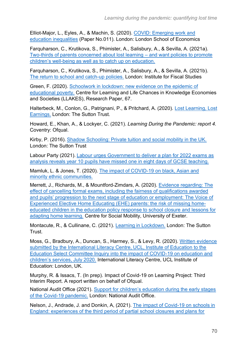Elliot-Major, L., Eyles, A., & Machin, S. (2020). [COVID: Emerging work and](https://cep.lse.ac.uk/pubs/download/cepcovid-19-011.pdf)  [education inequalities](https://cep.lse.ac.uk/pubs/download/cepcovid-19-011.pdf) (Paper No.011). London: London School of Economics

Farquharson, C., Krutikova, S., Phimister, A., Salisbury, A., & Sevilla, A. (2021a). [Two-thirds of parents concerned about lost learning –](https://www.ifs.org.uk/publications/15343) and want policies to promote [children's well-being as well as to catch up on education.](https://www.ifs.org.uk/publications/15343)

Farquharson, C., Krutikova, S., Phimister, A., Salisbury, A., & Sevilla, A. (2021b). [The return to school and catch-up policies.](https://ifs.org.uk/uploads/BN318-The-return-to-school-and-catch-up-policies.pdf) London: Institute for Fiscal Studies

Green, F. (2020). [Schoolwork in lockdown: new evidence on the epidemic of](https://www.llakes.ac.uk/sites/default/files/67%20Francis%20Green%20Research%20Paper%20%28combined%20file%29.pdf)  [educational poverty.](https://www.llakes.ac.uk/sites/default/files/67%20Francis%20Green%20Research%20Paper%20%28combined%20file%29.pdf) Centre for Learning and Life Chances in Knowledge Economies and Societies (LLAKES), Research Paper, 67.

Halterbeck, M., Conlon, G., Patrignani, P., & Pritchard, A. (2020). [Lost Learning, Lost](https://www.suttontrust.com/wp-content/uploads/2020/10/Lost-Learning-Lost-Earnings-1.pdf)  [Earnings.](https://www.suttontrust.com/wp-content/uploads/2020/10/Lost-Learning-Lost-Earnings-1.pdf) London: The Sutton Trust.

Howard, E., Khan, A., & Lockyer, C. (2021). *Learning During the Pandemic: report 4.* Coventry: Ofqual.

Kirby, P. (2016). [Shadow Schooling: Private tuition and social mobility in the UK.](https://www.suttontrust.com/wp-content/uploads/2019/12/Shadow-Schooling-formatted-report_FINAL.pdf) London: The Sutton Trust

Labour Party (2021). [Labour urges Government to deliver a plan for 2022 exams as](https://labour.org.uk/press/labour-urges-government-to-deliver-a-plan-for-2022-exams-as-analysis-reveals-year-10-pupils-have-missed-one-in-eight-days-of-gcse-teaching/)  [analysis reveals year 10 pupils have missed one in eight days of GCSE teaching.](https://labour.org.uk/press/labour-urges-government-to-deliver-a-plan-for-2022-exams-as-analysis-reveals-year-10-pupils-have-missed-one-in-eight-days-of-gcse-teaching/)

Mamluk, L. & Jones, T. (2020). [The impact of COVID-19 on black, Asian and](https://arc-w.nihr.ac.uk/research-and-implementation/covid-19-response/reports/the-impact-of-covid-19-on-black-asian-and-minority-ethnic-communities/)  [minority ethnic communities.](https://arc-w.nihr.ac.uk/research-and-implementation/covid-19-response/reports/the-impact-of-covid-19-on-black-asian-and-minority-ethnic-communities/)

Merrett, J., Richards, M., & Mountford-Zimdars, A. (2020). [Evidence regarding: The](https://www.researchgate.net/publication/344288129_The_Voice_of_Experienced_Elective_Home_Educating_EHE_parents_the_risk_of_missing_home-educated_children_in_the_education_policy_response_to_school_closure_and_lessons_for_adapting_home_learning)  [effect of cancelling formal exams, including the fairness of qualifications awarded](https://www.researchgate.net/publication/344288129_The_Voice_of_Experienced_Elective_Home_Educating_EHE_parents_the_risk_of_missing_home-educated_children_in_the_education_policy_response_to_school_closure_and_lessons_for_adapting_home_learning)  [and pupils' progression to the next stage of education or employment: The Voice of](https://www.researchgate.net/publication/344288129_The_Voice_of_Experienced_Elective_Home_Educating_EHE_parents_the_risk_of_missing_home-educated_children_in_the_education_policy_response_to_school_closure_and_lessons_for_adapting_home_learning)  [Experienced Elective Home Educating \(EHE\) parents: the risk of](https://www.researchgate.net/publication/344288129_The_Voice_of_Experienced_Elective_Home_Educating_EHE_parents_the_risk_of_missing_home-educated_children_in_the_education_policy_response_to_school_closure_and_lessons_for_adapting_home_learning) missing home[educated children in the education policy response to school closure and lessons for](https://www.researchgate.net/publication/344288129_The_Voice_of_Experienced_Elective_Home_Educating_EHE_parents_the_risk_of_missing_home-educated_children_in_the_education_policy_response_to_school_closure_and_lessons_for_adapting_home_learning)  [adapting home learning](https://www.researchgate.net/publication/344288129_The_Voice_of_Experienced_Elective_Home_Educating_EHE_parents_the_risk_of_missing_home-educated_children_in_the_education_policy_response_to_school_closure_and_lessons_for_adapting_home_learning)*.* Centre for Social Mobility, University of Exeter.

Montacute, R., & Cullinane, C. (2021). [Learning in Lockdown.](https://www.suttontrust.com/our-research/learning-in-lockdown/) London: The Sutton Trust.

Moss, G., Bradbury, A., Duncan, S., Harmey, S., & Levy, R. (2020). [Written evidence](https://discovery.ucl.ac.uk/id/eprint/10109023/)  [submitted by the International Literacy Centre, UCL, Institute of Education to the](https://discovery.ucl.ac.uk/id/eprint/10109023/)  [Education Select Committee Inquiry into the impact of COVID-19 on education and](https://discovery.ucl.ac.uk/id/eprint/10109023/)  [children's services, July 2020.](https://discovery.ucl.ac.uk/id/eprint/10109023/) International Literacy Centre, UCL Institute of Education: London, UK.

Murphy, R. & Issacs, T. (In prep). Impact of Covid-19 on Learning Project: Third Interim Report. A report written on behalf of Ofqual.

National Audit Office (2021). [Support for children's education during the early stages](https://www.nao.org.uk/report/support-for-childrens-education-during-the-covid-19-pandemic/)  [of the Covid-19 pandemic.](https://www.nao.org.uk/report/support-for-childrens-education-during-the-covid-19-pandemic/) London: National Audit Office.

Nelson, J., Andrade, J. and Donkin, A, (2021). [The impact of Covid-19 on schools in](https://www.nfer.ac.uk/media/4435/the_impact_of_covid_19_on_schools_in_england.pdf)  [England: experiences of the third period of partial school closures and plans for](https://www.nfer.ac.uk/media/4435/the_impact_of_covid_19_on_schools_in_england.pdf)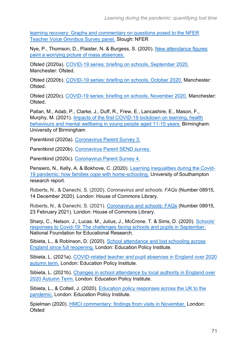[learning recovery: Graphs and commentary on questions posed to the NFER](https://www.nfer.ac.uk/media/4435/the_impact_of_covid_19_on_schools_in_england.pdf)  [Teacher Voice Omnibus Survey panel.](https://www.nfer.ac.uk/media/4435/the_impact_of_covid_19_on_schools_in_england.pdf) Slough: NFER

Nye, P., Thomson, D., Plaister, N. & Burgess, S. (2020). [New attendance figures](https://ffteducationdatalab.org.uk/2020/12/new-attendance-figures-paint-a-worrying-picture-of-mass-absences/)  [paint a worrying picture of mass absences.](https://ffteducationdatalab.org.uk/2020/12/new-attendance-figures-paint-a-worrying-picture-of-mass-absences/)

Ofsted (2020a). [COVID-19 series: briefing on schools, September 2020.](https://assets.publishing.service.gov.uk/government/uploads/system/uploads/attachment_data/file/924670/Schools_briefing_COVID-19_series_Sept-20202.pdf) Manchester: Ofsted.

Ofsted (2020b). [COVID-19 series: briefing on schools, October 2020.](https://www.gov.uk/government/publications/covid-19-series-briefing-on-schools-october-2020) Manchester: Ofsted.

Ofsted (2020c). [COVID-19 series: briefing on schools, November 2020.](https://assets.publishing.service.gov.uk/government/uploads/system/uploads/attachment_data/file/943732/COVID-19_series_briefing_on_schools__November_2020.pdf) Manchester: Ofsted.

Pallan, M., Adab, P., Clarke, J., Duff, R., Frew, E., Lancashire, E., Mason, F., Murphy, M. (2021). [Impacts of the first COVID-19 lockdown on learning, health](https://www.birmingham.ac.uk/research/applied-health/research/chronic-disease-epidemiology-and-management/contrast-study.aspx)  [behaviours and mental wellbeing in young people aged 11-15 years.](https://www.birmingham.ac.uk/research/applied-health/research/chronic-disease-epidemiology-and-management/contrast-study.aspx) Birmingham: University of Birmingham

Parentkind (2020a). [Coronavirus Parent Survey 3.](https://www.parentkind.org.uk/Research--Policy/Research/Coronavirus-Parent-Survey-3)

Parentkind (2020b). [Coronavirus Parent SEND survey.](https://www.parentkind.org.uk/Research--Policy/Research/Coronavirus-Parent-SEND-survey)

Parentkind (2020c). [Coronavirus Parent Survey 4.](https://www.parentkind.org.uk/Research--Policy/Research/Coronavirus-Parent-Survey-4)

Pensiero, N., Kelly, A. & Bokhove, C. (2020). [Learning inequalities during the Covid-](https://doi.org/10.5258/SOTON/P0025)[19 pandemic: how families cope with home-schooling.](https://doi.org/10.5258/SOTON/P0025) University of Southampton research report.

Roberts, N., & Danechi, S. (2020). *Coronavirus and schools: FAQs* (Number 08915, 14 December 2020). London: House of Commons Library.

Roberts, N., & Danechi, S. (2021). [Coronavirus and schools: FAQs](https://commonslibrary.parliament.uk/research-briefings/cbp-8915/) (Number 08915, 23 February 2021). London: House of Commons Library.

Sharp, C., Nelson. J., Lucas. M., Julius, J., McCrone. T. & Sims, D. (2020). [Schools'](https://www.nfer.ac.uk/schools-responses-to-covid-19-the-challenges-facing-schools-and-pupils-in-september-2020/)  [responses to Covid-19: The challenges facing schools and pupils in September.](https://www.nfer.ac.uk/schools-responses-to-covid-19-the-challenges-facing-schools-and-pupils-in-september-2020/) National Foundation for Educational Research.

Sibieta, L., & Robinson, D. (2020). [School attendance and lost schooling across](https://epi.org.uk/publications-and-research/school-attendance-and-lost-schooling-across-england-since-full-reopening/)  [England since full reopening.](https://epi.org.uk/publications-and-research/school-attendance-and-lost-schooling-across-england-since-full-reopening/) London: Education Policy Institute.

Sibieta, L. (2021a). [COVID-related teacher and pupil absences in England over 2020](https://epi.org.uk/wp-content/uploads/2021/01/Teacher-absence-analysis_EPI.pdf)  [autumn term.](https://epi.org.uk/wp-content/uploads/2021/01/Teacher-absence-analysis_EPI.pdf) London: Education Policy Institute.

Sibieta, L. (2021b). [Changes in school attendance by local authority in England over](https://epi.org.uk/publications-and-research/school-attendance-2020-autumn-term/)  [2020 Autumn Term.](https://epi.org.uk/publications-and-research/school-attendance-2020-autumn-term/) London: Education Policy Institute.

Sibieta, L., & Cottell, J. (2020). [Education policy responses across the UK to the](https://epi.org.uk/publications-and-research/education-responses-uk-pandemic/)  [pandemic.](https://epi.org.uk/publications-and-research/education-responses-uk-pandemic/) London: Education Policy Institute.

Spielman (2020). [HMCI commentary: findings from visits in November.](https://www.gov.uk/government/speeches/hmci-commentary-findings-from-visits-in-november) London: **Ofsted**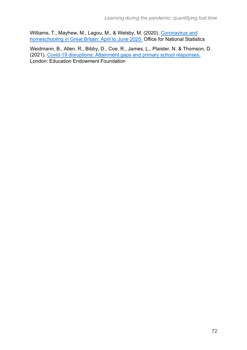Williams, T., Mayhew, M., Lagou, M., & Welsby, M. (2020). Coronavirus and [homeschooling in Great Britain: April to June 2020.](https://www.ons.gov.uk/peoplepopulationandcommunity/educationandchildcare/articles/coronavirusandhomeschoolingingreatbritain/apriltojune2020) Office for National Statistics

Weidmann, B., Allen, R., Bibby, D., Coe, R., James, L., Plaister, N. & Thomson, D. (2021). [Covid-19 disruptions: Attainment gaps and primary school responses.](https://educationendowmentfoundation.org.uk/projects-and-evaluation/projects/covid-19-disruptions-in-primary-schools-attainment-gaps-and-school-response/#closeSignup) London: Education Endowment Foundation